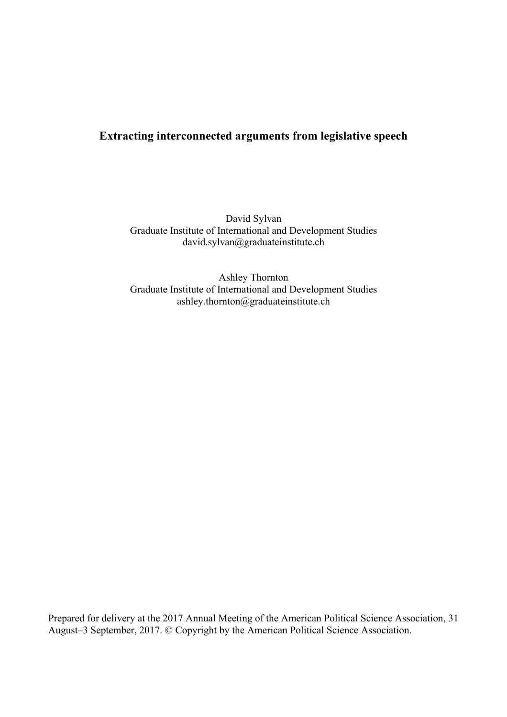# **Extracting interconnected arguments from legislative speech**

David Sylvan Graduate Institute of International and Development Studies david.sylvan@graduateinstitute.ch

Ashley Thornton Graduate Institute of International and Development Studies ashley.thornton@graduateinstitute.ch

Prepared for delivery at the 2017 Annual Meeting of the American Political Science Association, 31 August–3 September, 2017. © Copyright by the American Political Science Association.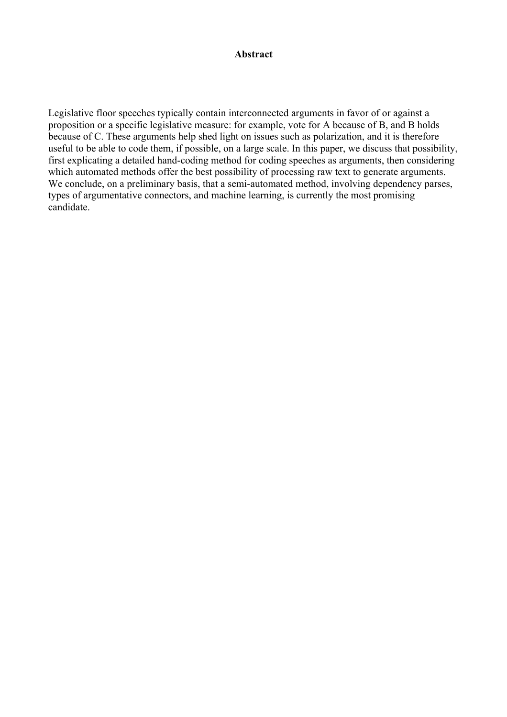# **Abstract**

Legislative floor speeches typically contain interconnected arguments in favor of or against a proposition or a specific legislative measure: for example, vote for A because of B, and B holds because of C. These arguments help shed light on issues such as polarization, and it is therefore useful to be able to code them, if possible, on a large scale. In this paper, we discuss that possibility, first explicating a detailed hand-coding method for coding speeches as arguments, then considering which automated methods offer the best possibility of processing raw text to generate arguments. We conclude, on a preliminary basis, that a semi-automated method, involving dependency parses, types of argumentative connectors, and machine learning, is currently the most promising candidate.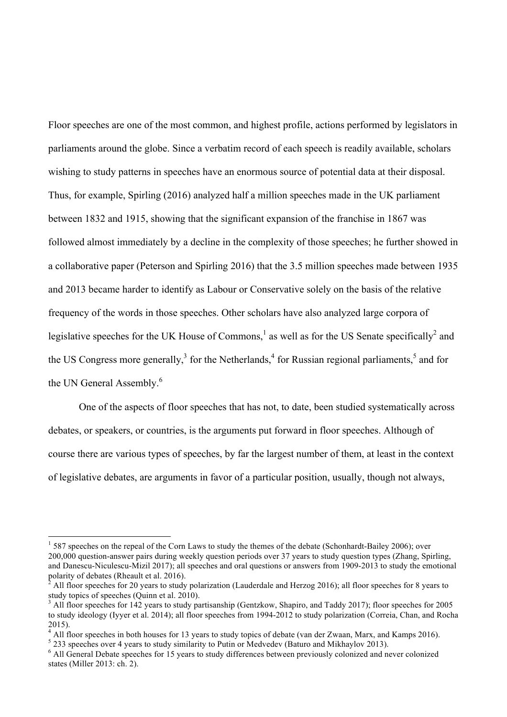Floor speeches are one of the most common, and highest profile, actions performed by legislators in parliaments around the globe. Since a verbatim record of each speech is readily available, scholars wishing to study patterns in speeches have an enormous source of potential data at their disposal. Thus, for example, Spirling (2016) analyzed half a million speeches made in the UK parliament between 1832 and 1915, showing that the significant expansion of the franchise in 1867 was followed almost immediately by a decline in the complexity of those speeches; he further showed in a collaborative paper (Peterson and Spirling 2016) that the 3.5 million speeches made between 1935 and 2013 became harder to identify as Labour or Conservative solely on the basis of the relative frequency of the words in those speeches. Other scholars have also analyzed large corpora of legislative speeches for the UK House of Commons,<sup>1</sup> as well as for the US Senate specifically<sup>2</sup> and the US Congress more generally, $3$  for the Netherlands,  $4$  for Russian regional parliaments,  $5$  and for the UN General Assembly.<sup>6</sup>

One of the aspects of floor speeches that has not, to date, been studied systematically across debates, or speakers, or countries, is the arguments put forward in floor speeches. Although of course there are various types of speeches, by far the largest number of them, at least in the context of legislative debates, are arguments in favor of a particular position, usually, though not always,

 $1\,$  587 speeches on the repeal of the Corn Laws to study the themes of the debate (Schonhardt-Bailey 2006); over 200,000 question-answer pairs during weekly question periods over 37 years to study question types (Zhang, Spirling, and Danescu-Niculescu-Mizil 2017); all speeches and oral questions or answers from 1909-2013 to study the emotional polarity of debates (Rheault et al. 2016).<br><sup>2</sup> All floor speeches for 20 years to study polarization (Lauderdale and Herzog 2016); all floor speeches for 8 years to

study topics of speeches (Quinn et al. 2010).<br><sup>3</sup> All floor speeches for 142 years to study partisanship (Gentzkow, Shapiro, and Taddy 2017); floor speeches for 2005

to study ideology (Iyyer et al. 2014); all floor speeches from 1994-2012 to study polarization (Correia, Chan, and Rocha 2015).<br>
<sup>4</sup> All floor speeches in both houses for 13 years to study topics of debate (van der Zwaan, Marx, and Kamps 2016).<br>
<sup>5</sup> 233 speeches over 4 years to study similarity to Putin or Medvedev (Baturo and Mikhaylov 201

states (Miller 2013: ch. 2).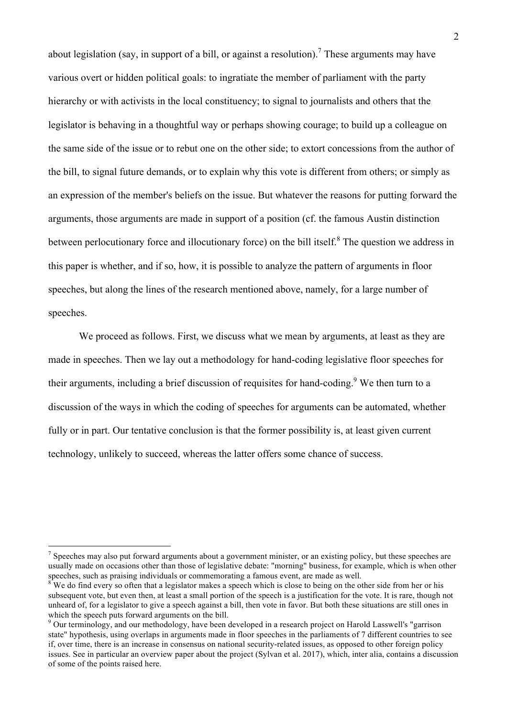about legislation (say, in support of a bill, or against a resolution).<sup>7</sup> These arguments may have various overt or hidden political goals: to ingratiate the member of parliament with the party hierarchy or with activists in the local constituency; to signal to journalists and others that the legislator is behaving in a thoughtful way or perhaps showing courage; to build up a colleague on the same side of the issue or to rebut one on the other side; to extort concessions from the author of the bill, to signal future demands, or to explain why this vote is different from others; or simply as an expression of the member's beliefs on the issue. But whatever the reasons for putting forward the arguments, those arguments are made in support of a position (cf. the famous Austin distinction between perlocutionary force and illocutionary force) on the bill itself.<sup>8</sup> The question we address in this paper is whether, and if so, how, it is possible to analyze the pattern of arguments in floor speeches, but along the lines of the research mentioned above, namely, for a large number of speeches.

We proceed as follows. First, we discuss what we mean by arguments, at least as they are made in speeches. Then we lay out a methodology for hand-coding legislative floor speeches for their arguments, including a brief discussion of requisites for hand-coding.<sup>9</sup> We then turn to a discussion of the ways in which the coding of speeches for arguments can be automated, whether fully or in part. Our tentative conclusion is that the former possibility is, at least given current technology, unlikely to succeed, whereas the latter offers some chance of success.

 $<sup>7</sup>$  Speeches may also put forward arguments about a government minister, or an existing policy, but these speeches are</sup> usually made on occasions other than those of legislative debate: "morning" business, for example, which is when other speeches, such as praising individuals or commemorating a famous event, are made as well.<br><sup>8</sup> We do find every so often that a legislator makes a speech which is close to being on the other side from her or his

subsequent vote, but even then, at least a small portion of the speech is a justification for the vote. It is rare, though not unheard of, for a legislator to give a speech against a bill, then vote in favor. But both these situations are still ones in which the speech puts forward arguments on the bill.

<sup>&</sup>lt;sup>9</sup> Our terminology, and our methodology, have been developed in a research project on Harold Lasswell's "garrison state" hypothesis, using overlaps in arguments made in floor speeches in the parliaments of 7 different countries to see if, over time, there is an increase in consensus on national security-related issues, as opposed to other foreign policy issues. See in particular an overview paper about the project (Sylvan et al. 2017), which, inter alia, contains a discussion of some of the points raised here.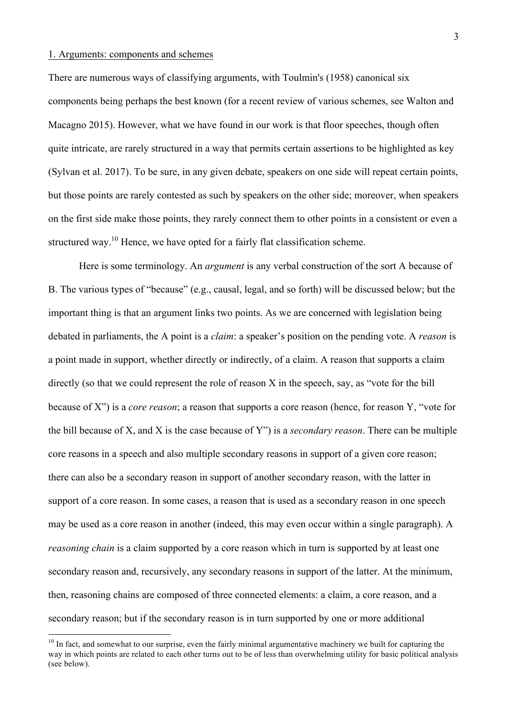#### 1. Arguments: components and schemes

There are numerous ways of classifying arguments, with Toulmin's (1958) canonical six components being perhaps the best known (for a recent review of various schemes, see Walton and Macagno 2015). However, what we have found in our work is that floor speeches, though often quite intricate, are rarely structured in a way that permits certain assertions to be highlighted as key (Sylvan et al. 2017). To be sure, in any given debate, speakers on one side will repeat certain points, but those points are rarely contested as such by speakers on the other side; moreover, when speakers on the first side make those points, they rarely connect them to other points in a consistent or even a structured way.<sup>10</sup> Hence, we have opted for a fairly flat classification scheme.

Here is some terminology. An *argument* is any verbal construction of the sort A because of B. The various types of "because" (e.g., causal, legal, and so forth) will be discussed below; but the important thing is that an argument links two points. As we are concerned with legislation being debated in parliaments, the A point is a *claim*: a speaker's position on the pending vote. A *reason* is a point made in support, whether directly or indirectly, of a claim. A reason that supports a claim directly (so that we could represent the role of reason X in the speech, say, as "vote for the bill because of X") is a *core reason*; a reason that supports a core reason (hence, for reason Y, "vote for the bill because of X, and X is the case because of Y") is a *secondary reason*. There can be multiple core reasons in a speech and also multiple secondary reasons in support of a given core reason; there can also be a secondary reason in support of another secondary reason, with the latter in support of a core reason. In some cases, a reason that is used as a secondary reason in one speech may be used as a core reason in another (indeed, this may even occur within a single paragraph). A *reasoning chain* is a claim supported by a core reason which in turn is supported by at least one secondary reason and, recursively, any secondary reasons in support of the latter. At the minimum, then, reasoning chains are composed of three connected elements: a claim, a core reason, and a secondary reason; but if the secondary reason is in turn supported by one or more additional

 $10$  In fact, and somewhat to our surprise, even the fairly minimal argumentative machinery we built for capturing the way in which points are related to each other turns out to be of less than overwhelming utility for basic political analysis (see below).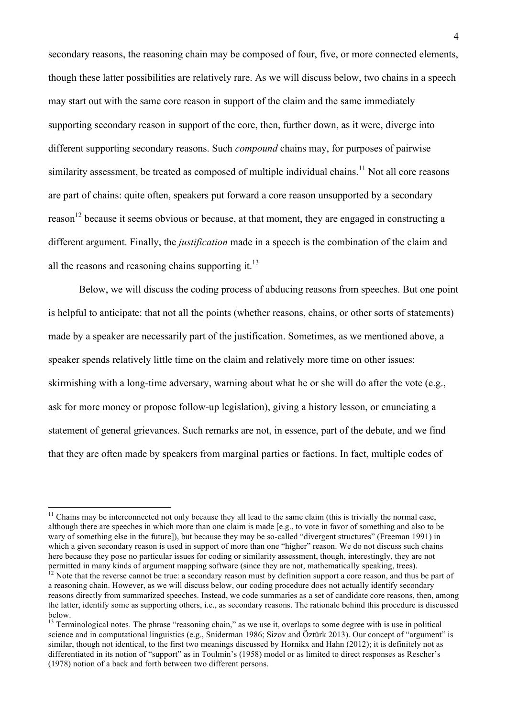secondary reasons, the reasoning chain may be composed of four, five, or more connected elements, though these latter possibilities are relatively rare. As we will discuss below, two chains in a speech may start out with the same core reason in support of the claim and the same immediately supporting secondary reason in support of the core, then, further down, as it were, diverge into different supporting secondary reasons. Such *compound* chains may, for purposes of pairwise similarity assessment, be treated as composed of multiple individual chains.<sup>11</sup> Not all core reasons are part of chains: quite often, speakers put forward a core reason unsupported by a secondary reason<sup>12</sup> because it seems obvious or because, at that moment, they are engaged in constructing a different argument. Finally, the *justification* made in a speech is the combination of the claim and all the reasons and reasoning chains supporting it. $^{13}$ 

Below, we will discuss the coding process of abducing reasons from speeches. But one point is helpful to anticipate: that not all the points (whether reasons, chains, or other sorts of statements) made by a speaker are necessarily part of the justification. Sometimes, as we mentioned above, a speaker spends relatively little time on the claim and relatively more time on other issues: skirmishing with a long-time adversary, warning about what he or she will do after the vote (e.g., ask for more money or propose follow-up legislation), giving a history lesson, or enunciating a statement of general grievances. Such remarks are not, in essence, part of the debate, and we find that they are often made by speakers from marginal parties or factions. In fact, multiple codes of

 $11$  Chains may be interconnected not only because they all lead to the same claim (this is trivially the normal case, although there are speeches in which more than one claim is made [e.g., to vote in favor of something and also to be wary of something else in the future]), but because they may be so-called "divergent structures" (Freeman 1991) in which a given secondary reason is used in support of more than one "higher" reason. We do not discuss such chains here because they pose no particular issues for coding or similarity assessment, though, interestingly, they are not permitted in many kinds of argument mapping software (since they are not, mathematically speaking, trees).<br><sup>12</sup> Note that the reverse cannot be true: a secondary reason must by definition support a core reason, and thus be

a reasoning chain. However, as we will discuss below, our coding procedure does not actually identify secondary reasons directly from summarized speeches. Instead, we code summaries as a set of candidate core reasons, then, among the latter, identify some as supporting others, i.e., as secondary reasons. The rationale behind this procedure is discussed below.

<sup>&</sup>lt;sup>13</sup> Terminological notes. The phrase "reasoning chain," as we use it, overlaps to some degree with is use in political science and in computational linguistics (e.g., Sniderman 1986; Sizov and Öztürk 2013). Our concept of "argument" is similar, though not identical, to the first two meanings discussed by Hornikx and Hahn (2012); it is definitely not as differentiated in its notion of "support" as in Toulmin's (1958) model or as limited to direct responses as Rescher's (1978) notion of a back and forth between two different persons.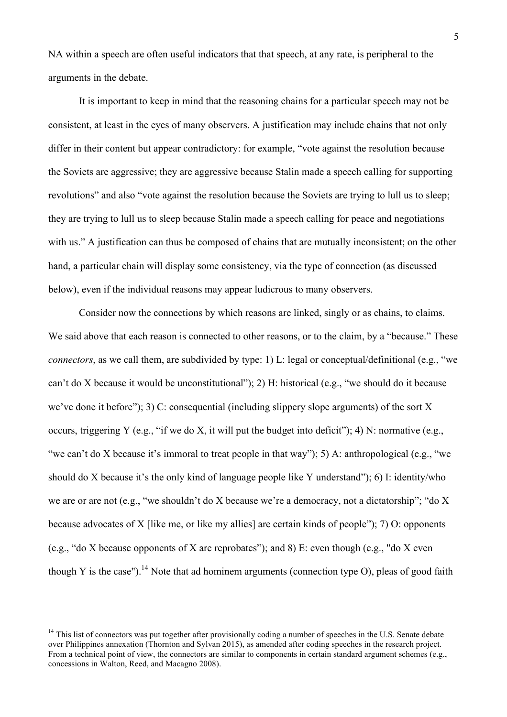NA within a speech are often useful indicators that that speech, at any rate, is peripheral to the arguments in the debate.

It is important to keep in mind that the reasoning chains for a particular speech may not be consistent, at least in the eyes of many observers. A justification may include chains that not only differ in their content but appear contradictory: for example, "vote against the resolution because the Soviets are aggressive; they are aggressive because Stalin made a speech calling for supporting revolutions" and also "vote against the resolution because the Soviets are trying to lull us to sleep; they are trying to lull us to sleep because Stalin made a speech calling for peace and negotiations with us." A justification can thus be composed of chains that are mutually inconsistent; on the other hand, a particular chain will display some consistency, via the type of connection (as discussed below), even if the individual reasons may appear ludicrous to many observers.

Consider now the connections by which reasons are linked, singly or as chains, to claims. We said above that each reason is connected to other reasons, or to the claim, by a "because." These *connectors*, as we call them, are subdivided by type: 1) L: legal or conceptual/definitional (e.g., "we can't do X because it would be unconstitutional"); 2) H: historical (e.g., "we should do it because we've done it before"); 3) C: consequential (including slippery slope arguments) of the sort X occurs, triggering Y (e.g., "if we do X, it will put the budget into deficit"); 4) N: normative (e.g., "we can't do X because it's immoral to treat people in that way"); 5) A: anthropological (e.g., "we should do X because it's the only kind of language people like Y understand"); 6) I: identity/who we are or are not (e.g., "we shouldn't do X because we're a democracy, not a dictatorship"; "do X because advocates of X [like me, or like my allies] are certain kinds of people"); 7) O: opponents (e.g., "do X because opponents of X are reprobates"); and 8) E: even though (e.g., "do X even though Y is the case").<sup>14</sup> Note that ad hominem arguments (connection type O), pleas of good faith

 $14$  This list of connectors was put together after provisionally coding a number of speeches in the U.S. Senate debate over Philippines annexation (Thornton and Sylvan 2015), as amended after coding speeches in the research project. From a technical point of view, the connectors are similar to components in certain standard argument schemes (e.g., concessions in Walton, Reed, and Macagno 2008).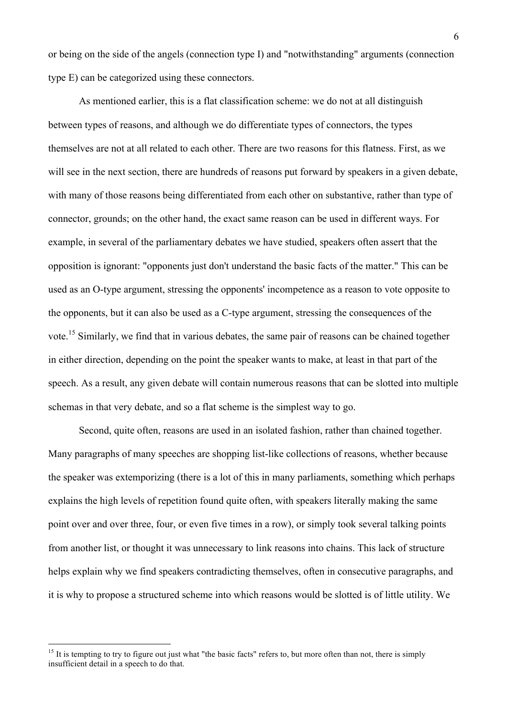or being on the side of the angels (connection type I) and "notwithstanding" arguments (connection type E) can be categorized using these connectors.

As mentioned earlier, this is a flat classification scheme: we do not at all distinguish between types of reasons, and although we do differentiate types of connectors, the types themselves are not at all related to each other. There are two reasons for this flatness. First, as we will see in the next section, there are hundreds of reasons put forward by speakers in a given debate, with many of those reasons being differentiated from each other on substantive, rather than type of connector, grounds; on the other hand, the exact same reason can be used in different ways. For example, in several of the parliamentary debates we have studied, speakers often assert that the opposition is ignorant: "opponents just don't understand the basic facts of the matter." This can be used as an O-type argument, stressing the opponents' incompetence as a reason to vote opposite to the opponents, but it can also be used as a C-type argument, stressing the consequences of the vote.<sup>15</sup> Similarly, we find that in various debates, the same pair of reasons can be chained together in either direction, depending on the point the speaker wants to make, at least in that part of the speech. As a result, any given debate will contain numerous reasons that can be slotted into multiple schemas in that very debate, and so a flat scheme is the simplest way to go.

Second, quite often, reasons are used in an isolated fashion, rather than chained together. Many paragraphs of many speeches are shopping list-like collections of reasons, whether because the speaker was extemporizing (there is a lot of this in many parliaments, something which perhaps explains the high levels of repetition found quite often, with speakers literally making the same point over and over three, four, or even five times in a row), or simply took several talking points from another list, or thought it was unnecessary to link reasons into chains. This lack of structure helps explain why we find speakers contradicting themselves, often in consecutive paragraphs, and it is why to propose a structured scheme into which reasons would be slotted is of little utility. We

 $15$  It is tempting to try to figure out just what "the basic facts" refers to, but more often than not, there is simply insufficient detail in a speech to do that.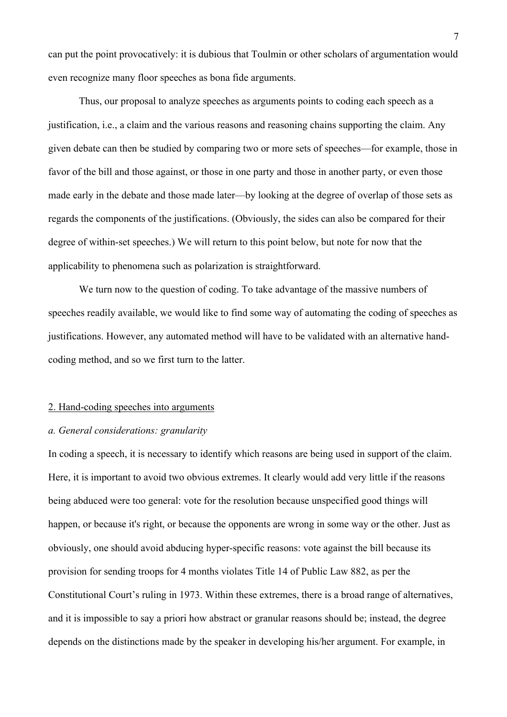can put the point provocatively: it is dubious that Toulmin or other scholars of argumentation would even recognize many floor speeches as bona fide arguments.

Thus, our proposal to analyze speeches as arguments points to coding each speech as a justification, i.e., a claim and the various reasons and reasoning chains supporting the claim. Any given debate can then be studied by comparing two or more sets of speeches—for example, those in favor of the bill and those against, or those in one party and those in another party, or even those made early in the debate and those made later—by looking at the degree of overlap of those sets as regards the components of the justifications. (Obviously, the sides can also be compared for their degree of within-set speeches.) We will return to this point below, but note for now that the applicability to phenomena such as polarization is straightforward.

We turn now to the question of coding. To take advantage of the massive numbers of speeches readily available, we would like to find some way of automating the coding of speeches as justifications. However, any automated method will have to be validated with an alternative handcoding method, and so we first turn to the latter.

### 2. Hand-coding speeches into arguments

#### *a. General considerations: granularity*

In coding a speech, it is necessary to identify which reasons are being used in support of the claim. Here, it is important to avoid two obvious extremes. It clearly would add very little if the reasons being abduced were too general: vote for the resolution because unspecified good things will happen, or because it's right, or because the opponents are wrong in some way or the other. Just as obviously, one should avoid abducing hyper-specific reasons: vote against the bill because its provision for sending troops for 4 months violates Title 14 of Public Law 882, as per the Constitutional Court's ruling in 1973. Within these extremes, there is a broad range of alternatives, and it is impossible to say a priori how abstract or granular reasons should be; instead, the degree depends on the distinctions made by the speaker in developing his/her argument. For example, in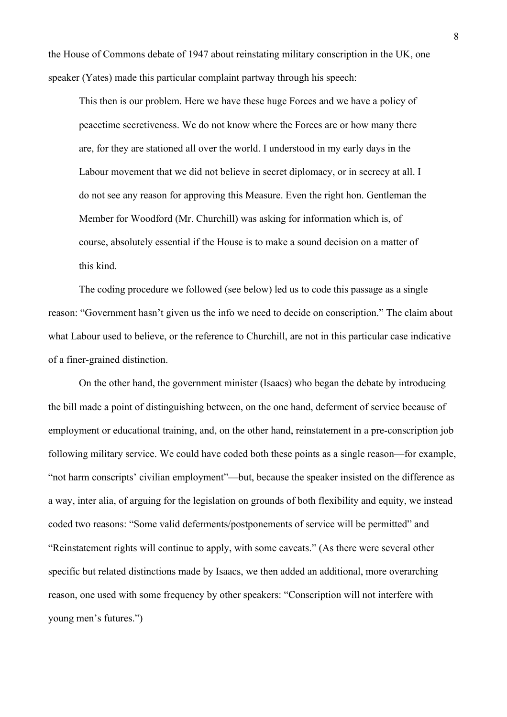the House of Commons debate of 1947 about reinstating military conscription in the UK, one speaker (Yates) made this particular complaint partway through his speech:

This then is our problem. Here we have these huge Forces and we have a policy of peacetime secretiveness. We do not know where the Forces are or how many there are, for they are stationed all over the world. I understood in my early days in the Labour movement that we did not believe in secret diplomacy, or in secrecy at all. I do not see any reason for approving this Measure. Even the right hon. Gentleman the Member for Woodford (Mr. Churchill) was asking for information which is, of course, absolutely essential if the House is to make a sound decision on a matter of this kind.

The coding procedure we followed (see below) led us to code this passage as a single reason: "Government hasn't given us the info we need to decide on conscription." The claim about what Labour used to believe, or the reference to Churchill, are not in this particular case indicative of a finer-grained distinction.

On the other hand, the government minister (Isaacs) who began the debate by introducing the bill made a point of distinguishing between, on the one hand, deferment of service because of employment or educational training, and, on the other hand, reinstatement in a pre-conscription job following military service. We could have coded both these points as a single reason—for example, "not harm conscripts' civilian employment"—but, because the speaker insisted on the difference as a way, inter alia, of arguing for the legislation on grounds of both flexibility and equity, we instead coded two reasons: "Some valid deferments/postponements of service will be permitted" and "Reinstatement rights will continue to apply, with some caveats." (As there were several other specific but related distinctions made by Isaacs, we then added an additional, more overarching reason, one used with some frequency by other speakers: "Conscription will not interfere with young men's futures.")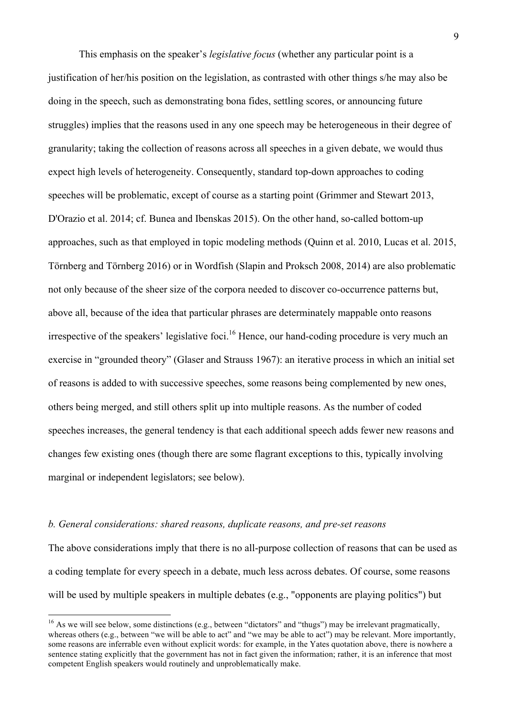This emphasis on the speaker's *legislative focus* (whether any particular point is a justification of her/his position on the legislation, as contrasted with other things s/he may also be doing in the speech, such as demonstrating bona fides, settling scores, or announcing future struggles) implies that the reasons used in any one speech may be heterogeneous in their degree of granularity; taking the collection of reasons across all speeches in a given debate, we would thus expect high levels of heterogeneity. Consequently, standard top-down approaches to coding speeches will be problematic, except of course as a starting point (Grimmer and Stewart 2013, D'Orazio et al. 2014; cf. Bunea and Ibenskas 2015). On the other hand, so-called bottom-up approaches, such as that employed in topic modeling methods (Quinn et al. 2010, Lucas et al. 2015, Törnberg and Törnberg 2016) or in Wordfish (Slapin and Proksch 2008, 2014) are also problematic not only because of the sheer size of the corpora needed to discover co-occurrence patterns but, above all, because of the idea that particular phrases are determinately mappable onto reasons irrespective of the speakers' legislative foci.<sup>16</sup> Hence, our hand-coding procedure is very much an exercise in "grounded theory" (Glaser and Strauss 1967): an iterative process in which an initial set of reasons is added to with successive speeches, some reasons being complemented by new ones, others being merged, and still others split up into multiple reasons. As the number of coded speeches increases, the general tendency is that each additional speech adds fewer new reasons and changes few existing ones (though there are some flagrant exceptions to this, typically involving marginal or independent legislators; see below).

#### *b. General considerations: shared reasons, duplicate reasons, and pre-set reasons*

The above considerations imply that there is no all-purpose collection of reasons that can be used as a coding template for every speech in a debate, much less across debates. Of course, some reasons will be used by multiple speakers in multiple debates (e.g., "opponents are playing politics") but

<sup>&</sup>lt;sup>16</sup> As we will see below, some distinctions (e.g., between "dictators" and "thugs") may be irrelevant pragmatically, whereas others (e.g., between "we will be able to act" and "we may be able to act") may be relevant. More importantly, some reasons are inferrable even without explicit words: for example, in the Yates quotation above, there is nowhere a sentence stating explicitly that the government has not in fact given the information; rather, it is an inference that most competent English speakers would routinely and unproblematically make.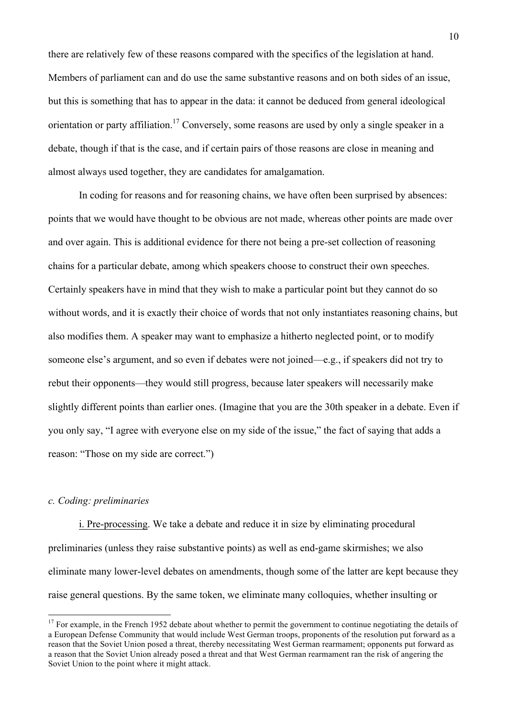there are relatively few of these reasons compared with the specifics of the legislation at hand. Members of parliament can and do use the same substantive reasons and on both sides of an issue, but this is something that has to appear in the data: it cannot be deduced from general ideological orientation or party affiliation.<sup>17</sup> Conversely, some reasons are used by only a single speaker in a debate, though if that is the case, and if certain pairs of those reasons are close in meaning and almost always used together, they are candidates for amalgamation.

In coding for reasons and for reasoning chains, we have often been surprised by absences: points that we would have thought to be obvious are not made, whereas other points are made over and over again. This is additional evidence for there not being a pre-set collection of reasoning chains for a particular debate, among which speakers choose to construct their own speeches. Certainly speakers have in mind that they wish to make a particular point but they cannot do so without words, and it is exactly their choice of words that not only instantiates reasoning chains, but also modifies them. A speaker may want to emphasize a hitherto neglected point, or to modify someone else's argument, and so even if debates were not joined—e.g., if speakers did not try to rebut their opponents—they would still progress, because later speakers will necessarily make slightly different points than earlier ones. (Imagine that you are the 30th speaker in a debate. Even if you only say, "I agree with everyone else on my side of the issue," the fact of saying that adds a reason: "Those on my side are correct.")

# *c. Coding: preliminaries*

i. Pre-processing. We take a debate and reduce it in size by eliminating procedural preliminaries (unless they raise substantive points) as well as end-game skirmishes; we also eliminate many lower-level debates on amendments, though some of the latter are kept because they raise general questions. By the same token, we eliminate many colloquies, whether insulting or

 $17$  For example, in the French 1952 debate about whether to permit the government to continue negotiating the details of a European Defense Community that would include West German troops, proponents of the resolution put forward as a reason that the Soviet Union posed a threat, thereby necessitating West German rearmament; opponents put forward as a reason that the Soviet Union already posed a threat and that West German rearmament ran the risk of angering the Soviet Union to the point where it might attack.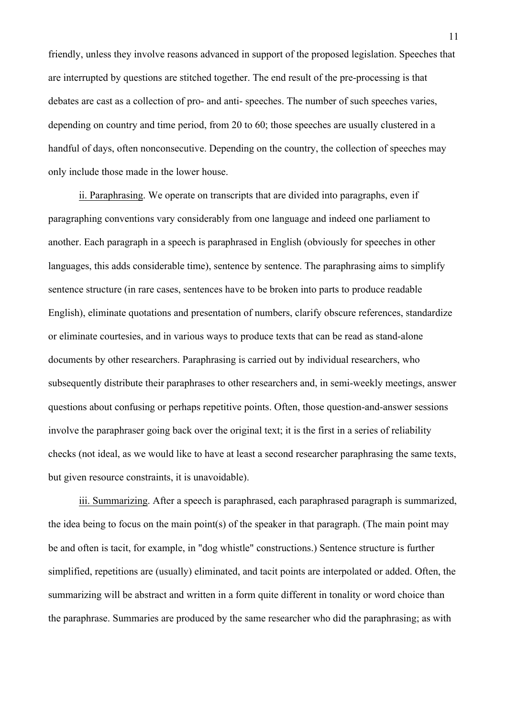friendly, unless they involve reasons advanced in support of the proposed legislation. Speeches that are interrupted by questions are stitched together. The end result of the pre-processing is that debates are cast as a collection of pro- and anti- speeches. The number of such speeches varies, depending on country and time period, from 20 to 60; those speeches are usually clustered in a handful of days, often nonconsecutive. Depending on the country, the collection of speeches may only include those made in the lower house.

ii. Paraphrasing. We operate on transcripts that are divided into paragraphs, even if paragraphing conventions vary considerably from one language and indeed one parliament to another. Each paragraph in a speech is paraphrased in English (obviously for speeches in other languages, this adds considerable time), sentence by sentence. The paraphrasing aims to simplify sentence structure (in rare cases, sentences have to be broken into parts to produce readable English), eliminate quotations and presentation of numbers, clarify obscure references, standardize or eliminate courtesies, and in various ways to produce texts that can be read as stand-alone documents by other researchers. Paraphrasing is carried out by individual researchers, who subsequently distribute their paraphrases to other researchers and, in semi-weekly meetings, answer questions about confusing or perhaps repetitive points. Often, those question-and-answer sessions involve the paraphraser going back over the original text; it is the first in a series of reliability checks (not ideal, as we would like to have at least a second researcher paraphrasing the same texts, but given resource constraints, it is unavoidable).

iii. Summarizing. After a speech is paraphrased, each paraphrased paragraph is summarized, the idea being to focus on the main point(s) of the speaker in that paragraph. (The main point may be and often is tacit, for example, in "dog whistle" constructions.) Sentence structure is further simplified, repetitions are (usually) eliminated, and tacit points are interpolated or added. Often, the summarizing will be abstract and written in a form quite different in tonality or word choice than the paraphrase. Summaries are produced by the same researcher who did the paraphrasing; as with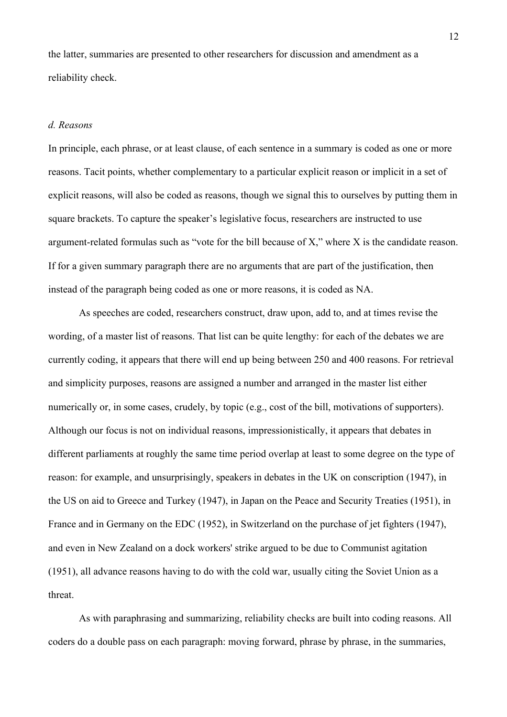the latter, summaries are presented to other researchers for discussion and amendment as a reliability check.

### *d. Reasons*

In principle, each phrase, or at least clause, of each sentence in a summary is coded as one or more reasons. Tacit points, whether complementary to a particular explicit reason or implicit in a set of explicit reasons, will also be coded as reasons, though we signal this to ourselves by putting them in square brackets. To capture the speaker's legislative focus, researchers are instructed to use argument-related formulas such as "vote for the bill because of X," where X is the candidate reason. If for a given summary paragraph there are no arguments that are part of the justification, then instead of the paragraph being coded as one or more reasons, it is coded as NA.

As speeches are coded, researchers construct, draw upon, add to, and at times revise the wording, of a master list of reasons. That list can be quite lengthy: for each of the debates we are currently coding, it appears that there will end up being between 250 and 400 reasons. For retrieval and simplicity purposes, reasons are assigned a number and arranged in the master list either numerically or, in some cases, crudely, by topic (e.g., cost of the bill, motivations of supporters). Although our focus is not on individual reasons, impressionistically, it appears that debates in different parliaments at roughly the same time period overlap at least to some degree on the type of reason: for example, and unsurprisingly, speakers in debates in the UK on conscription (1947), in the US on aid to Greece and Turkey (1947), in Japan on the Peace and Security Treaties (1951), in France and in Germany on the EDC (1952), in Switzerland on the purchase of jet fighters (1947), and even in New Zealand on a dock workers' strike argued to be due to Communist agitation (1951), all advance reasons having to do with the cold war, usually citing the Soviet Union as a threat.

As with paraphrasing and summarizing, reliability checks are built into coding reasons. All coders do a double pass on each paragraph: moving forward, phrase by phrase, in the summaries,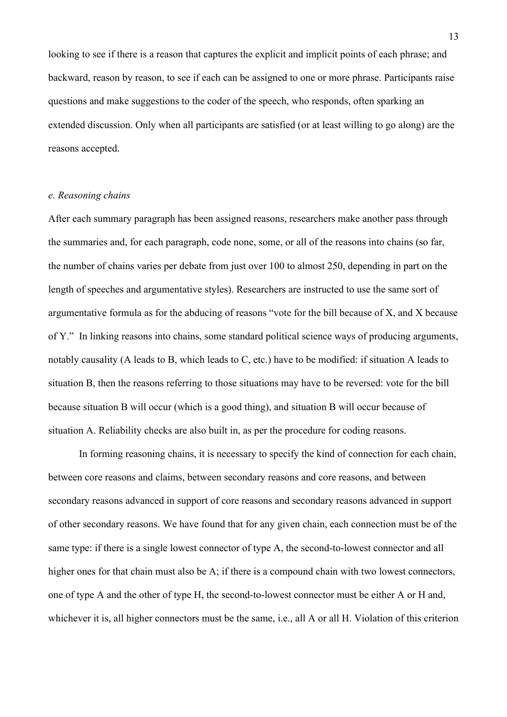looking to see if there is a reason that captures the explicit and implicit points of each phrase; and backward, reason by reason, to see if each can be assigned to one or more phrase. Participants raise questions and make suggestions to the coder of the speech, who responds, often sparking an extended discussion. Only when all participants are satisfied (or at least willing to go along) are the reasons accepted.

# *e. Reasoning chains*

After each summary paragraph has been assigned reasons, researchers make another pass through the summaries and, for each paragraph, code none, some, or all of the reasons into chains (so far, the number of chains varies per debate from just over 100 to almost 250, depending in part on the length of speeches and argumentative styles). Researchers are instructed to use the same sort of argumentative formula as for the abducing of reasons "vote for the bill because of X, and X because of Y." In linking reasons into chains, some standard political science ways of producing arguments, notably causality (A leads to B, which leads to C, etc.) have to be modified: if situation A leads to situation B, then the reasons referring to those situations may have to be reversed: vote for the bill because situation B will occur (which is a good thing), and situation B will occur because of situation A. Reliability checks are also built in, as per the procedure for coding reasons.

In forming reasoning chains, it is necessary to specify the kind of connection for each chain, between core reasons and claims, between secondary reasons and core reasons, and between secondary reasons advanced in support of core reasons and secondary reasons advanced in support of other secondary reasons. We have found that for any given chain, each connection must be of the same type: if there is a single lowest connector of type A, the second-to-lowest connector and all higher ones for that chain must also be A; if there is a compound chain with two lowest connectors, one of type A and the other of type H, the second-to-lowest connector must be either A or H and, whichever it is, all higher connectors must be the same, i.e., all A or all H. Violation of this criterion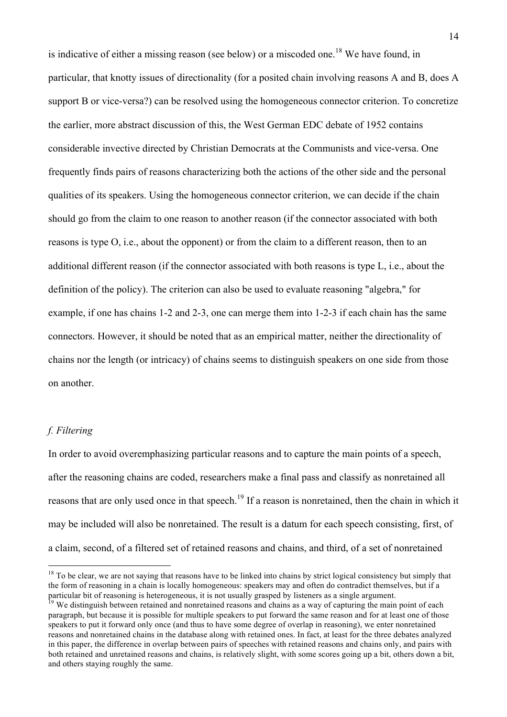is indicative of either a missing reason (see below) or a miscoded one.<sup>18</sup> We have found, in particular, that knotty issues of directionality (for a posited chain involving reasons A and B, does A support B or vice-versa?) can be resolved using the homogeneous connector criterion. To concretize the earlier, more abstract discussion of this, the West German EDC debate of 1952 contains considerable invective directed by Christian Democrats at the Communists and vice-versa. One frequently finds pairs of reasons characterizing both the actions of the other side and the personal qualities of its speakers. Using the homogeneous connector criterion, we can decide if the chain should go from the claim to one reason to another reason (if the connector associated with both reasons is type O, i.e., about the opponent) or from the claim to a different reason, then to an additional different reason (if the connector associated with both reasons is type L, i.e., about the definition of the policy). The criterion can also be used to evaluate reasoning "algebra," for example, if one has chains 1-2 and 2-3, one can merge them into 1-2-3 if each chain has the same connectors. However, it should be noted that as an empirical matter, neither the directionality of chains nor the length (or intricacy) of chains seems to distinguish speakers on one side from those on another.

#### *f. Filtering*

In order to avoid overemphasizing particular reasons and to capture the main points of a speech, after the reasoning chains are coded, researchers make a final pass and classify as nonretained all reasons that are only used once in that speech.<sup>19</sup> If a reason is nonretained, then the chain in which it may be included will also be nonretained. The result is a datum for each speech consisting, first, of a claim, second, of a filtered set of retained reasons and chains, and third, of a set of nonretained

 $18$  To be clear, we are not saying that reasons have to be linked into chains by strict logical consistency but simply that the form of reasoning in a chain is locally homogeneous: speakers may and often do contradict themselves, but if a particular bit of reasoning is heterogeneous, it is not usually grasped by listeners as a single argument.

We distinguish between retained and nonretained reasons and chains as a way of capturing the main point of each paragraph, but because it is possible for multiple speakers to put forward the same reason and for at least one of those speakers to put it forward only once (and thus to have some degree of overlap in reasoning), we enter nonretained reasons and nonretained chains in the database along with retained ones. In fact, at least for the three debates analyzed in this paper, the difference in overlap between pairs of speeches with retained reasons and chains only, and pairs with both retained and unretained reasons and chains, is relatively slight, with some scores going up a bit, others down a bit, and others staying roughly the same.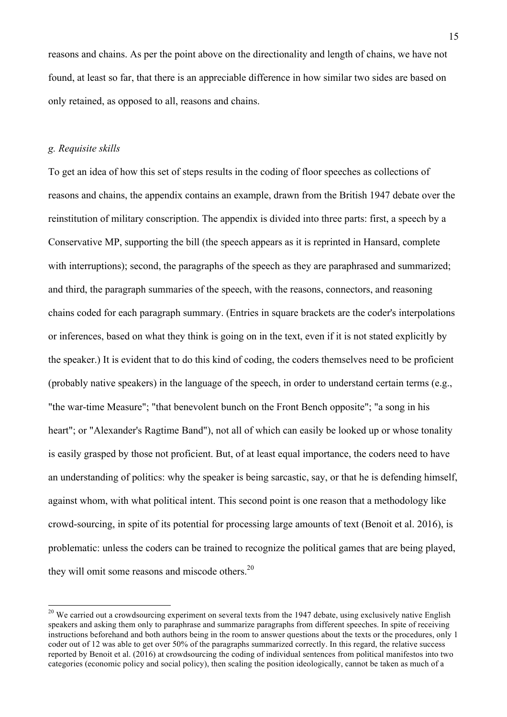reasons and chains. As per the point above on the directionality and length of chains, we have not found, at least so far, that there is an appreciable difference in how similar two sides are based on only retained, as opposed to all, reasons and chains.

#### *g. Requisite skills*

To get an idea of how this set of steps results in the coding of floor speeches as collections of reasons and chains, the appendix contains an example, drawn from the British 1947 debate over the reinstitution of military conscription. The appendix is divided into three parts: first, a speech by a Conservative MP, supporting the bill (the speech appears as it is reprinted in Hansard, complete with interruptions); second, the paragraphs of the speech as they are paraphrased and summarized; and third, the paragraph summaries of the speech, with the reasons, connectors, and reasoning chains coded for each paragraph summary. (Entries in square brackets are the coder's interpolations or inferences, based on what they think is going on in the text, even if it is not stated explicitly by the speaker.) It is evident that to do this kind of coding, the coders themselves need to be proficient (probably native speakers) in the language of the speech, in order to understand certain terms (e.g., "the war-time Measure"; "that benevolent bunch on the Front Bench opposite"; "a song in his heart"; or "Alexander's Ragtime Band"), not all of which can easily be looked up or whose tonality is easily grasped by those not proficient. But, of at least equal importance, the coders need to have an understanding of politics: why the speaker is being sarcastic, say, or that he is defending himself, against whom, with what political intent. This second point is one reason that a methodology like crowd-sourcing, in spite of its potential for processing large amounts of text (Benoit et al. 2016), is problematic: unless the coders can be trained to recognize the political games that are being played, they will omit some reasons and miscode others.<sup>20</sup>

<sup>&</sup>lt;sup>20</sup> We carried out a crowdsourcing experiment on several texts from the 1947 debate, using exclusively native English speakers and asking them only to paraphrase and summarize paragraphs from different speeches. In spite of receiving instructions beforehand and both authors being in the room to answer questions about the texts or the procedures, only 1 coder out of 12 was able to get over 50% of the paragraphs summarized correctly. In this regard, the relative success reported by Benoit et al. (2016) at crowdsourcing the coding of individual sentences from political manifestos into two categories (economic policy and social policy), then scaling the position ideologically, cannot be taken as much of a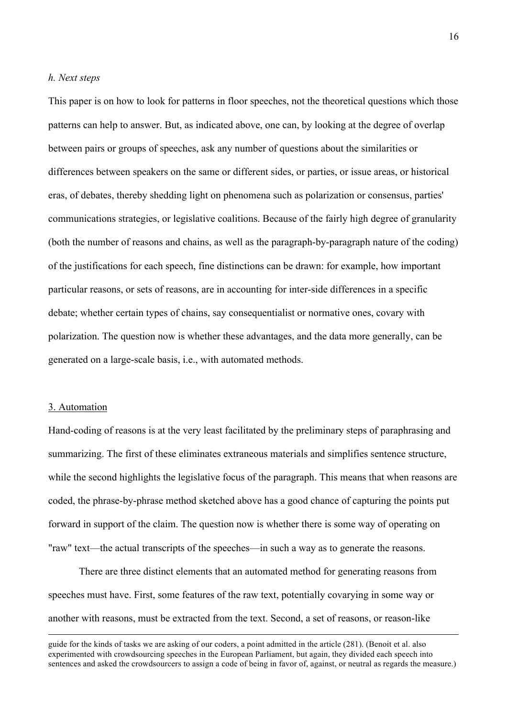### *h. Next steps*

This paper is on how to look for patterns in floor speeches, not the theoretical questions which those patterns can help to answer. But, as indicated above, one can, by looking at the degree of overlap between pairs or groups of speeches, ask any number of questions about the similarities or differences between speakers on the same or different sides, or parties, or issue areas, or historical eras, of debates, thereby shedding light on phenomena such as polarization or consensus, parties' communications strategies, or legislative coalitions. Because of the fairly high degree of granularity (both the number of reasons and chains, as well as the paragraph-by-paragraph nature of the coding) of the justifications for each speech, fine distinctions can be drawn: for example, how important particular reasons, or sets of reasons, are in accounting for inter-side differences in a specific debate; whether certain types of chains, say consequentialist or normative ones, covary with polarization. The question now is whether these advantages, and the data more generally, can be generated on a large-scale basis, i.e., with automated methods.

#### 3. Automation

Hand-coding of reasons is at the very least facilitated by the preliminary steps of paraphrasing and summarizing. The first of these eliminates extraneous materials and simplifies sentence structure, while the second highlights the legislative focus of the paragraph. This means that when reasons are coded, the phrase-by-phrase method sketched above has a good chance of capturing the points put forward in support of the claim. The question now is whether there is some way of operating on "raw" text—the actual transcripts of the speeches—in such a way as to generate the reasons.

There are three distinct elements that an automated method for generating reasons from speeches must have. First, some features of the raw text, potentially covarying in some way or another with reasons, must be extracted from the text. Second, a set of reasons, or reason-like

 guide for the kinds of tasks we are asking of our coders, a point admitted in the article (281). (Benoit et al. also experimented with crowdsourcing speeches in the European Parliament, but again, they divided each speech into sentences and asked the crowdsourcers to assign a code of being in favor of, against, or neutral as regards the measure.)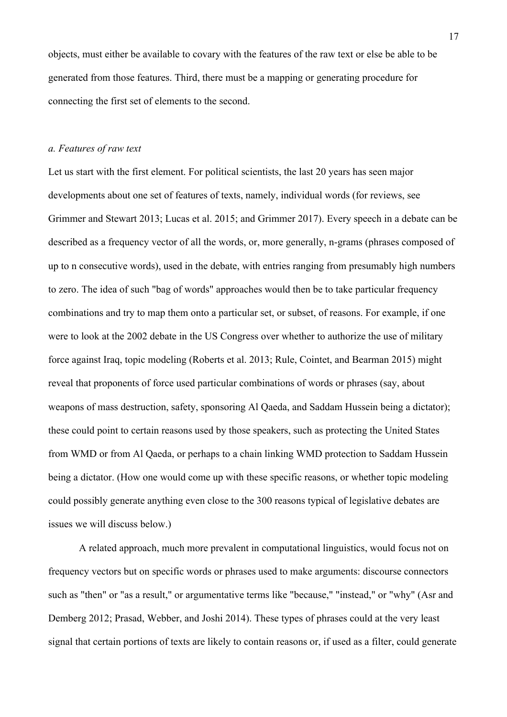objects, must either be available to covary with the features of the raw text or else be able to be generated from those features. Third, there must be a mapping or generating procedure for connecting the first set of elements to the second.

# *a. Features of raw text*

Let us start with the first element. For political scientists, the last 20 years has seen major developments about one set of features of texts, namely, individual words (for reviews, see Grimmer and Stewart 2013; Lucas et al. 2015; and Grimmer 2017). Every speech in a debate can be described as a frequency vector of all the words, or, more generally, n-grams (phrases composed of up to n consecutive words), used in the debate, with entries ranging from presumably high numbers to zero. The idea of such "bag of words" approaches would then be to take particular frequency combinations and try to map them onto a particular set, or subset, of reasons. For example, if one were to look at the 2002 debate in the US Congress over whether to authorize the use of military force against Iraq, topic modeling (Roberts et al. 2013; Rule, Cointet, and Bearman 2015) might reveal that proponents of force used particular combinations of words or phrases (say, about weapons of mass destruction, safety, sponsoring Al Qaeda, and Saddam Hussein being a dictator); these could point to certain reasons used by those speakers, such as protecting the United States from WMD or from Al Qaeda, or perhaps to a chain linking WMD protection to Saddam Hussein being a dictator. (How one would come up with these specific reasons, or whether topic modeling could possibly generate anything even close to the 300 reasons typical of legislative debates are issues we will discuss below.)

A related approach, much more prevalent in computational linguistics, would focus not on frequency vectors but on specific words or phrases used to make arguments: discourse connectors such as "then" or "as a result," or argumentative terms like "because," "instead," or "why" (Asr and Demberg 2012; Prasad, Webber, and Joshi 2014). These types of phrases could at the very least signal that certain portions of texts are likely to contain reasons or, if used as a filter, could generate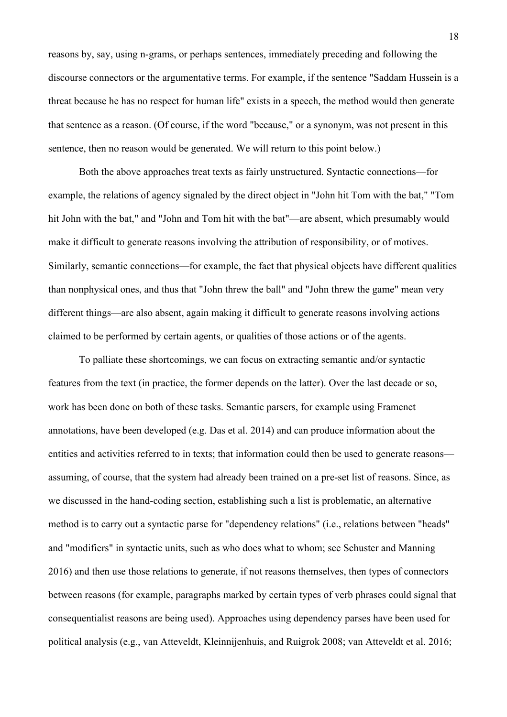reasons by, say, using n-grams, or perhaps sentences, immediately preceding and following the discourse connectors or the argumentative terms. For example, if the sentence "Saddam Hussein is a threat because he has no respect for human life" exists in a speech, the method would then generate that sentence as a reason. (Of course, if the word "because," or a synonym, was not present in this sentence, then no reason would be generated. We will return to this point below.)

Both the above approaches treat texts as fairly unstructured. Syntactic connections—for example, the relations of agency signaled by the direct object in "John hit Tom with the bat," "Tom hit John with the bat," and "John and Tom hit with the bat"—are absent, which presumably would make it difficult to generate reasons involving the attribution of responsibility, or of motives. Similarly, semantic connections—for example, the fact that physical objects have different qualities than nonphysical ones, and thus that "John threw the ball" and "John threw the game" mean very different things—are also absent, again making it difficult to generate reasons involving actions claimed to be performed by certain agents, or qualities of those actions or of the agents.

To palliate these shortcomings, we can focus on extracting semantic and/or syntactic features from the text (in practice, the former depends on the latter). Over the last decade or so, work has been done on both of these tasks. Semantic parsers, for example using Framenet annotations, have been developed (e.g. Das et al. 2014) and can produce information about the entities and activities referred to in texts; that information could then be used to generate reasons assuming, of course, that the system had already been trained on a pre-set list of reasons. Since, as we discussed in the hand-coding section, establishing such a list is problematic, an alternative method is to carry out a syntactic parse for "dependency relations" (i.e., relations between "heads" and "modifiers" in syntactic units, such as who does what to whom; see Schuster and Manning 2016) and then use those relations to generate, if not reasons themselves, then types of connectors between reasons (for example, paragraphs marked by certain types of verb phrases could signal that consequentialist reasons are being used). Approaches using dependency parses have been used for political analysis (e.g., van Atteveldt, Kleinnijenhuis, and Ruigrok 2008; van Atteveldt et al. 2016;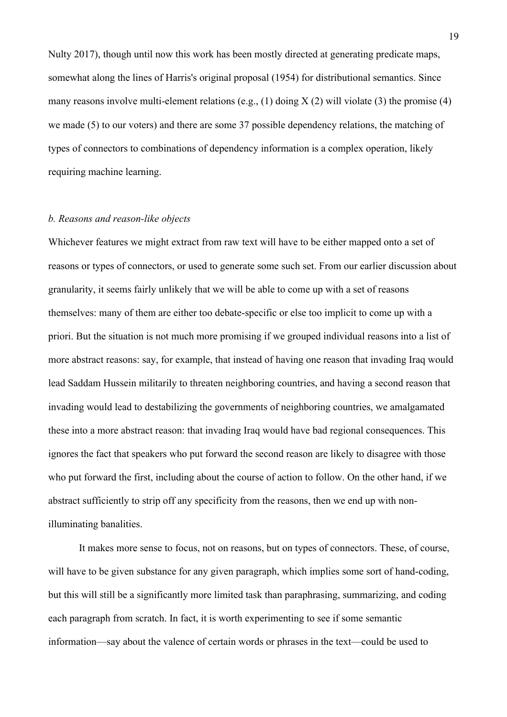Nulty 2017), though until now this work has been mostly directed at generating predicate maps, somewhat along the lines of Harris's original proposal (1954) for distributional semantics. Since many reasons involve multi-element relations (e.g.,  $(1)$  doing  $X(2)$  will violate  $(3)$  the promise  $(4)$ we made (5) to our voters) and there are some 37 possible dependency relations, the matching of types of connectors to combinations of dependency information is a complex operation, likely requiring machine learning.

# *b. Reasons and reason-like objects*

Whichever features we might extract from raw text will have to be either mapped onto a set of reasons or types of connectors, or used to generate some such set. From our earlier discussion about granularity, it seems fairly unlikely that we will be able to come up with a set of reasons themselves: many of them are either too debate-specific or else too implicit to come up with a priori. But the situation is not much more promising if we grouped individual reasons into a list of more abstract reasons: say, for example, that instead of having one reason that invading Iraq would lead Saddam Hussein militarily to threaten neighboring countries, and having a second reason that invading would lead to destabilizing the governments of neighboring countries, we amalgamated these into a more abstract reason: that invading Iraq would have bad regional consequences. This ignores the fact that speakers who put forward the second reason are likely to disagree with those who put forward the first, including about the course of action to follow. On the other hand, if we abstract sufficiently to strip off any specificity from the reasons, then we end up with nonilluminating banalities.

It makes more sense to focus, not on reasons, but on types of connectors. These, of course, will have to be given substance for any given paragraph, which implies some sort of hand-coding, but this will still be a significantly more limited task than paraphrasing, summarizing, and coding each paragraph from scratch. In fact, it is worth experimenting to see if some semantic information—say about the valence of certain words or phrases in the text—could be used to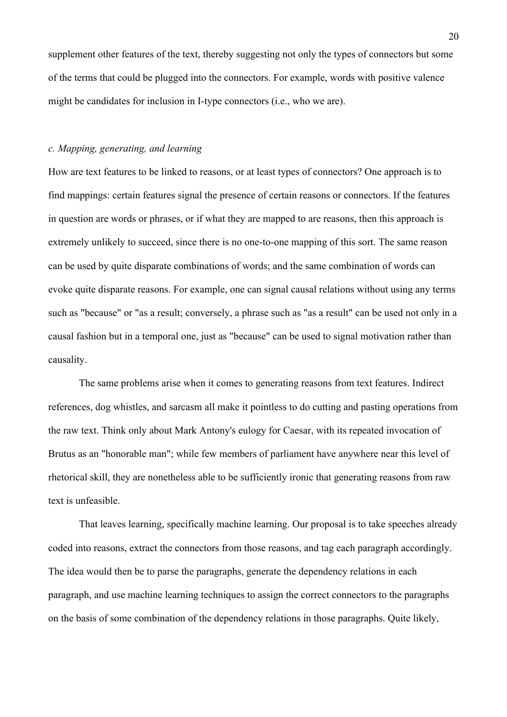supplement other features of the text, thereby suggesting not only the types of connectors but some of the terms that could be plugged into the connectors. For example, words with positive valence might be candidates for inclusion in I-type connectors (i.e., who we are).

# *c. Mapping, generating, and learning*

How are text features to be linked to reasons, or at least types of connectors? One approach is to find mappings: certain features signal the presence of certain reasons or connectors. If the features in question are words or phrases, or if what they are mapped to are reasons, then this approach is extremely unlikely to succeed, since there is no one-to-one mapping of this sort. The same reason can be used by quite disparate combinations of words; and the same combination of words can evoke quite disparate reasons. For example, one can signal causal relations without using any terms such as "because" or "as a result; conversely, a phrase such as "as a result" can be used not only in a causal fashion but in a temporal one, just as "because" can be used to signal motivation rather than causality.

The same problems arise when it comes to generating reasons from text features. Indirect references, dog whistles, and sarcasm all make it pointless to do cutting and pasting operations from the raw text. Think only about Mark Antony's eulogy for Caesar, with its repeated invocation of Brutus as an "honorable man"; while few members of parliament have anywhere near this level of rhetorical skill, they are nonetheless able to be sufficiently ironic that generating reasons from raw text is unfeasible.

That leaves learning, specifically machine learning. Our proposal is to take speeches already coded into reasons, extract the connectors from those reasons, and tag each paragraph accordingly. The idea would then be to parse the paragraphs, generate the dependency relations in each paragraph, and use machine learning techniques to assign the correct connectors to the paragraphs on the basis of some combination of the dependency relations in those paragraphs. Quite likely,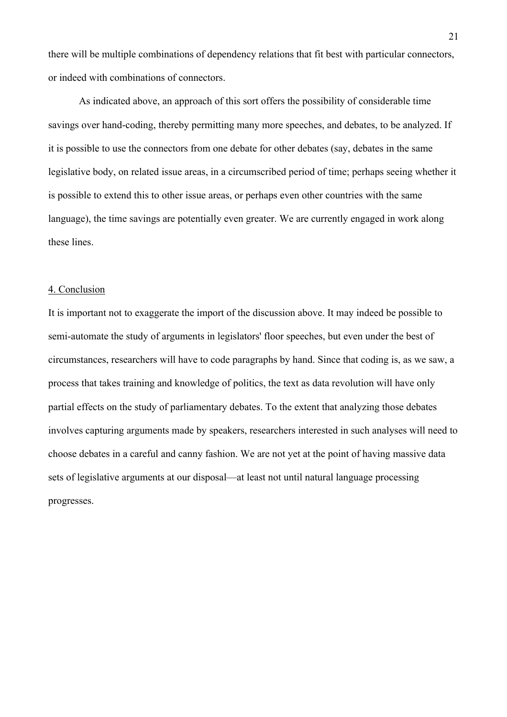there will be multiple combinations of dependency relations that fit best with particular connectors, or indeed with combinations of connectors.

As indicated above, an approach of this sort offers the possibility of considerable time savings over hand-coding, thereby permitting many more speeches, and debates, to be analyzed. If it is possible to use the connectors from one debate for other debates (say, debates in the same legislative body, on related issue areas, in a circumscribed period of time; perhaps seeing whether it is possible to extend this to other issue areas, or perhaps even other countries with the same language), the time savings are potentially even greater. We are currently engaged in work along these lines.

#### 4. Conclusion

It is important not to exaggerate the import of the discussion above. It may indeed be possible to semi-automate the study of arguments in legislators' floor speeches, but even under the best of circumstances, researchers will have to code paragraphs by hand. Since that coding is, as we saw, a process that takes training and knowledge of politics, the text as data revolution will have only partial effects on the study of parliamentary debates. To the extent that analyzing those debates involves capturing arguments made by speakers, researchers interested in such analyses will need to choose debates in a careful and canny fashion. We are not yet at the point of having massive data sets of legislative arguments at our disposal—at least not until natural language processing progresses.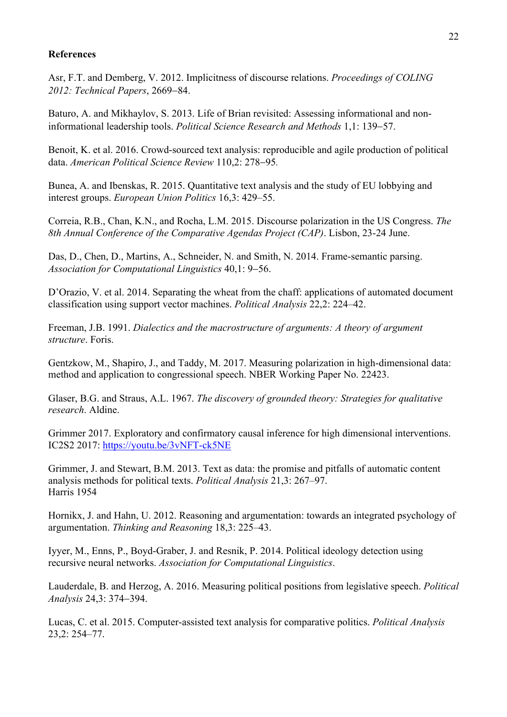# **References**

Asr, F.T. and Demberg, V. 2012. Implicitness of discourse relations. *Proceedings of COLING 2012: Technical Papers*, 2669-84.

Baturo, A. and Mikhaylov, S. 2013. Life of Brian revisited: Assessing informational and noninformational leadership tools. *Political Science Research and Methods* 1,1: 139-57.

Benoit, K. et al. 2016. Crowd-sourced text analysis: reproducible and agile production of political data. *American Political Science Review* 110,2: 278-95*.*

Bunea, A. and Ibenskas, R. 2015. Quantitative text analysis and the study of EU lobbying and interest groups. *European Union Politics* 16,3: 429–55.

Correia, R.B., Chan, K.N., and Rocha, L.M. 2015. Discourse polarization in the US Congress. *The 8th Annual Conference of the Comparative Agendas Project (CAP)*. Lisbon, 23-24 June.

Das, D., Chen, D., Martins, A., Schneider, N. and Smith, N. 2014. Frame-semantic parsing. *Association for Computational Linguistics* 40,1: 9-56.

D'Orazio, V. et al. 2014. Separating the wheat from the chaff: applications of automated document classification using support vector machines. *Political Analysis* 22,2: 224–42.

Freeman, J.B. 1991. *Dialectics and the macrostructure of arguments: A theory of argument structure*. Foris.

Gentzkow, M., Shapiro, J., and Taddy, M. 2017. Measuring polarization in high-dimensional data: method and application to congressional speech. NBER Working Paper No. 22423.

Glaser, B.G. and Straus, A.L. 1967. *The discovery of grounded theory: Strategies for qualitative research*. Aldine.

Grimmer 2017. Exploratory and confirmatory causal inference for high dimensional interventions. IC2S2 2017: https://youtu.be/3vNFT-ck5NE

Grimmer, J. and Stewart, B.M. 2013. Text as data: the promise and pitfalls of automatic content analysis methods for political texts. *Political Analysis* 21,3: 267–97. Harris 1954

Hornikx, J. and Hahn, U. 2012. Reasoning and argumentation: towards an integrated psychology of argumentation. *Thinking and Reasoning* 18,3: 225–43.

Iyyer, M., Enns, P., Boyd-Graber, J. and Resnik, P. 2014. Political ideology detection using recursive neural networks. *Association for Computational Linguistics*.

Lauderdale, B. and Herzog, A. 2016. Measuring political positions from legislative speech. *Political Analysis* 24,3: 374-394.

Lucas, C. et al. 2015. Computer-assisted text analysis for comparative politics. *Political Analysis* 23,2: 254–77.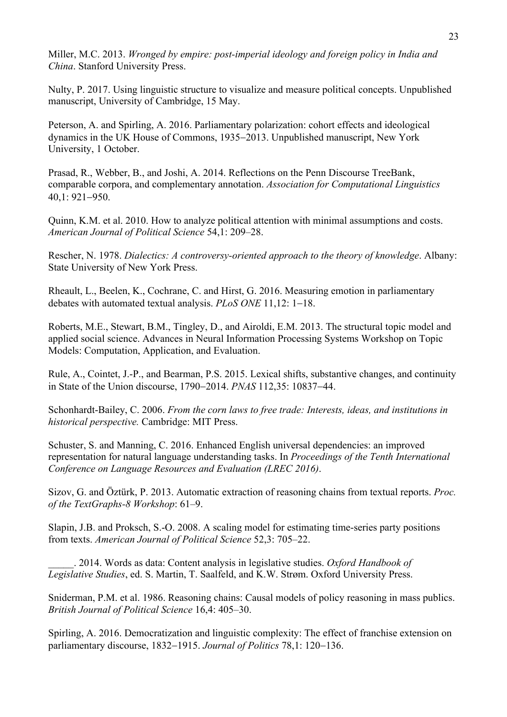Miller, M.C. 2013. *Wronged by empire: post-imperial ideology and foreign policy in India and China*. Stanford University Press.

Nulty, P. 2017. Using linguistic structure to visualize and measure political concepts. Unpublished manuscript, University of Cambridge, 15 May.

Peterson, A. and Spirling, A. 2016. Parliamentary polarization: cohort effects and ideological dynamics in the UK House of Commons, 1935-2013. Unpublished manuscript, New York University, 1 October.

Prasad, R., Webber, B., and Joshi, A. 2014. Reflections on the Penn Discourse TreeBank, comparable corpora, and complementary annotation. *Association for Computational Linguistics*  40,1: 921-950.

Quinn, K.M. et al. 2010. How to analyze political attention with minimal assumptions and costs. *American Journal of Political Science* 54,1: 209–28.

Rescher, N. 1978. *Dialectics: A controversy-oriented approach to the theory of knowledge*. Albany: State University of New York Press.

Rheault, L., Beelen, K., Cochrane, C. and Hirst, G. 2016. Measuring emotion in parliamentary debates with automated textual analysis. *PLoS ONE* 11,12: 1-18.

Roberts, M.E., Stewart, B.M., Tingley, D., and Airoldi, E.M. 2013. The structural topic model and applied social science. Advances in Neural Information Processing Systems Workshop on Topic Models: Computation, Application, and Evaluation.

Rule, A., Cointet, J.-P., and Bearman, P.S. 2015. Lexical shifts, substantive changes, and continuity in State of the Union discourse, 1790-2014. *PNAS* 112,35: 10837-44.

Schonhardt-Bailey, C. 2006. *From the corn laws to free trade: Interests, ideas, and institutions in historical perspective.* Cambridge: MIT Press.

Schuster, S. and Manning, C. 2016. Enhanced English universal dependencies: an improved representation for natural language understanding tasks. In *Proceedings of the Tenth International Conference on Language Resources and Evaluation (LREC 2016)*.

Sizov, G. and Öztürk, P. 2013. Automatic extraction of reasoning chains from textual reports. *Proc. of the TextGraphs-8 Workshop*: 61–9.

Slapin, J.B. and Proksch, S.-O. 2008. A scaling model for estimating time-series party positions from texts. *American Journal of Political Science* 52,3: 705–22.

\_\_\_\_\_. 2014. Words as data: Content analysis in legislative studies. *Oxford Handbook of Legislative Studies*, ed. S. Martin, T. Saalfeld, and K.W. Strøm. Oxford University Press.

Sniderman, P.M. et al. 1986. Reasoning chains: Causal models of policy reasoning in mass publics. *British Journal of Political Science* 16,4: 405–30.

Spirling, A. 2016. Democratization and linguistic complexity: The effect of franchise extension on parliamentary discourse, 1832-1915. *Journal of Politics* 78,1: 120-136.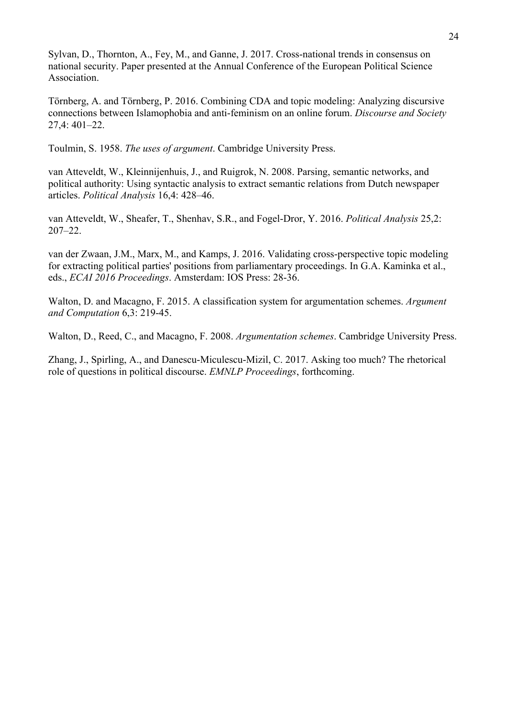Sylvan, D., Thornton, A., Fey, M., and Ganne, J. 2017. Cross-national trends in consensus on national security. Paper presented at the Annual Conference of the European Political Science Association.

Törnberg, A. and Törnberg, P. 2016. Combining CDA and topic modeling: Analyzing discursive connections between Islamophobia and anti-feminism on an online forum. *Discourse and Society* 27,4: 401–22.

Toulmin, S. 1958. *The uses of argument*. Cambridge University Press.

van Atteveldt, W., Kleinnijenhuis, J., and Ruigrok, N. 2008. Parsing, semantic networks, and political authority: Using syntactic analysis to extract semantic relations from Dutch newspaper articles. *Political Analysis* 16,4: 428–46.

van Atteveldt, W., Sheafer, T., Shenhav, S.R., and Fogel-Dror, Y. 2016. *Political Analysis* 25,2: 207–22.

van der Zwaan, J.M., Marx, M., and Kamps, J. 2016. Validating cross-perspective topic modeling for extracting political parties' positions from parliamentary proceedings. In G.A. Kaminka et al., eds., *ECAI 2016 Proceedings*. Amsterdam: IOS Press: 28-36.

Walton, D. and Macagno, F. 2015. A classification system for argumentation schemes. *Argument and Computation* 6,3: 219-45.

Walton, D., Reed, C., and Macagno, F. 2008. *Argumentation schemes*. Cambridge University Press.

Zhang, J., Spirling, A., and Danescu-Miculescu-Mizil, C. 2017. Asking too much? The rhetorical role of questions in political discourse. *EMNLP Proceedings*, forthcoming.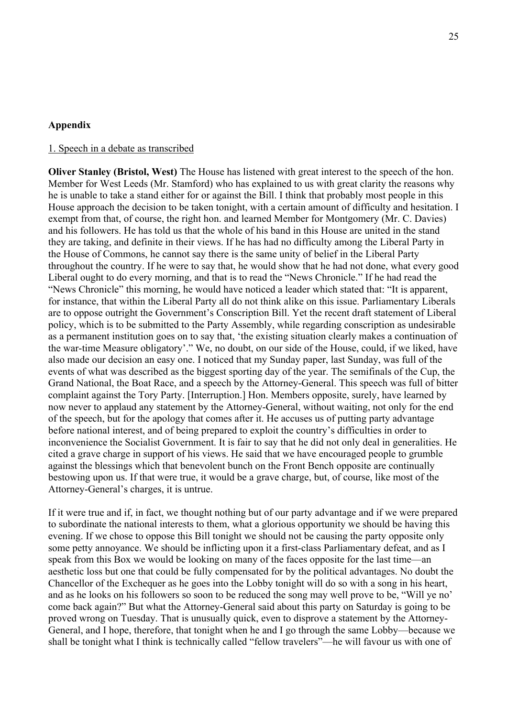### **Appendix**

### 1. Speech in a debate as transcribed

**Oliver Stanley (Bristol, West)** The House has listened with great interest to the speech of the hon. Member for West Leeds (Mr. Stamford) who has explained to us with great clarity the reasons why he is unable to take a stand either for or against the Bill. I think that probably most people in this House approach the decision to be taken tonight, with a certain amount of difficulty and hesitation. I exempt from that, of course, the right hon. and learned Member for Montgomery (Mr. C. Davies) and his followers. He has told us that the whole of his band in this House are united in the stand they are taking, and definite in their views. If he has had no difficulty among the Liberal Party in the House of Commons, he cannot say there is the same unity of belief in the Liberal Party throughout the country. If he were to say that, he would show that he had not done, what every good Liberal ought to do every morning, and that is to read the "News Chronicle." If he had read the "News Chronicle" this morning, he would have noticed a leader which stated that: "It is apparent, for instance, that within the Liberal Party all do not think alike on this issue. Parliamentary Liberals are to oppose outright the Government's Conscription Bill. Yet the recent draft statement of Liberal policy, which is to be submitted to the Party Assembly, while regarding conscription as undesirable as a permanent institution goes on to say that, 'the existing situation clearly makes a continuation of the war-time Measure obligatory'." We, no doubt, on our side of the House, could, if we liked, have also made our decision an easy one. I noticed that my Sunday paper, last Sunday, was full of the events of what was described as the biggest sporting day of the year. The semifinals of the Cup, the Grand National, the Boat Race, and a speech by the Attorney-General. This speech was full of bitter complaint against the Tory Party. [Interruption.] Hon. Members opposite, surely, have learned by now never to applaud any statement by the Attorney-General, without waiting, not only for the end of the speech, but for the apology that comes after it. He accuses us of putting party advantage before national interest, and of being prepared to exploit the country's difficulties in order to inconvenience the Socialist Government. It is fair to say that he did not only deal in generalities. He cited a grave charge in support of his views. He said that we have encouraged people to grumble against the blessings which that benevolent bunch on the Front Bench opposite are continually bestowing upon us. If that were true, it would be a grave charge, but, of course, like most of the Attorney-General's charges, it is untrue.

If it were true and if, in fact, we thought nothing but of our party advantage and if we were prepared to subordinate the national interests to them, what a glorious opportunity we should be having this evening. If we chose to oppose this Bill tonight we should not be causing the party opposite only some petty annoyance. We should be inflicting upon it a first-class Parliamentary defeat, and as I speak from this Box we would be looking on many of the faces opposite for the last time—an aesthetic loss but one that could be fully compensated for by the political advantages. No doubt the Chancellor of the Exchequer as he goes into the Lobby tonight will do so with a song in his heart, and as he looks on his followers so soon to be reduced the song may well prove to be, "Will ye no' come back again?" But what the Attorney-General said about this party on Saturday is going to be proved wrong on Tuesday. That is unusually quick, even to disprove a statement by the Attorney-General, and I hope, therefore, that tonight when he and I go through the same Lobby—because we shall be tonight what I think is technically called "fellow travelers"—he will favour us with one of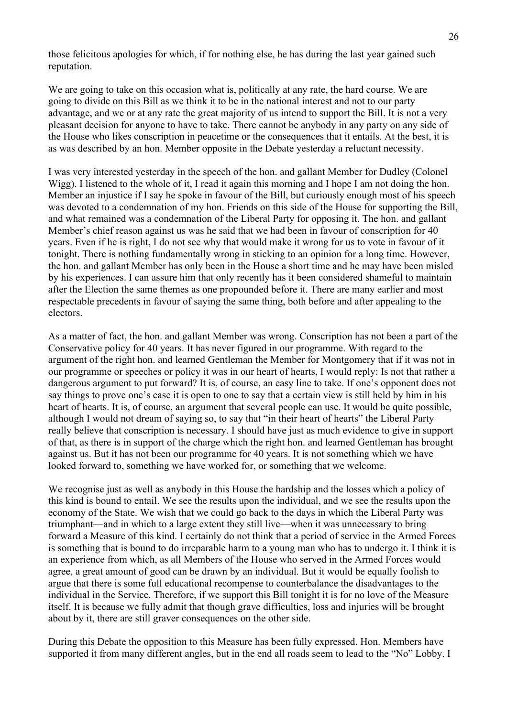those felicitous apologies for which, if for nothing else, he has during the last year gained such reputation.

We are going to take on this occasion what is, politically at any rate, the hard course. We are going to divide on this Bill as we think it to be in the national interest and not to our party advantage, and we or at any rate the great majority of us intend to support the Bill. It is not a very pleasant decision for anyone to have to take. There cannot be anybody in any party on any side of the House who likes conscription in peacetime or the consequences that it entails. At the best, it is as was described by an hon. Member opposite in the Debate yesterday a reluctant necessity.

I was very interested yesterday in the speech of the hon. and gallant Member for Dudley (Colonel Wigg). I listened to the whole of it, I read it again this morning and I hope I am not doing the hon. Member an injustice if I say he spoke in favour of the Bill, but curiously enough most of his speech was devoted to a condemnation of my hon. Friends on this side of the House for supporting the Bill, and what remained was a condemnation of the Liberal Party for opposing it. The hon. and gallant Member's chief reason against us was he said that we had been in favour of conscription for 40 years. Even if he is right, I do not see why that would make it wrong for us to vote in favour of it tonight. There is nothing fundamentally wrong in sticking to an opinion for a long time. However, the hon. and gallant Member has only been in the House a short time and he may have been misled by his experiences. I can assure him that only recently has it been considered shameful to maintain after the Election the same themes as one propounded before it. There are many earlier and most respectable precedents in favour of saying the same thing, both before and after appealing to the electors.

As a matter of fact, the hon. and gallant Member was wrong. Conscription has not been a part of the Conservative policy for 40 years. It has never figured in our programme. With regard to the argument of the right hon. and learned Gentleman the Member for Montgomery that if it was not in our programme or speeches or policy it was in our heart of hearts, I would reply: Is not that rather a dangerous argument to put forward? It is, of course, an easy line to take. If one's opponent does not say things to prove one's case it is open to one to say that a certain view is still held by him in his heart of hearts. It is, of course, an argument that several people can use. It would be quite possible, although I would not dream of saying so, to say that "in their heart of hearts" the Liberal Party really believe that conscription is necessary. I should have just as much evidence to give in support of that, as there is in support of the charge which the right hon. and learned Gentleman has brought against us. But it has not been our programme for 40 years. It is not something which we have looked forward to, something we have worked for, or something that we welcome.

We recognise just as well as anybody in this House the hardship and the losses which a policy of this kind is bound to entail. We see the results upon the individual, and we see the results upon the economy of the State. We wish that we could go back to the days in which the Liberal Party was triumphant—and in which to a large extent they still live—when it was unnecessary to bring forward a Measure of this kind. I certainly do not think that a period of service in the Armed Forces is something that is bound to do irreparable harm to a young man who has to undergo it. I think it is an experience from which, as all Members of the House who served in the Armed Forces would agree, a great amount of good can be drawn by an individual. But it would be equally foolish to argue that there is some full educational recompense to counterbalance the disadvantages to the individual in the Service. Therefore, if we support this Bill tonight it is for no love of the Measure itself. It is because we fully admit that though grave difficulties, loss and injuries will be brought about by it, there are still graver consequences on the other side.

During this Debate the opposition to this Measure has been fully expressed. Hon. Members have supported it from many different angles, but in the end all roads seem to lead to the "No" Lobby. I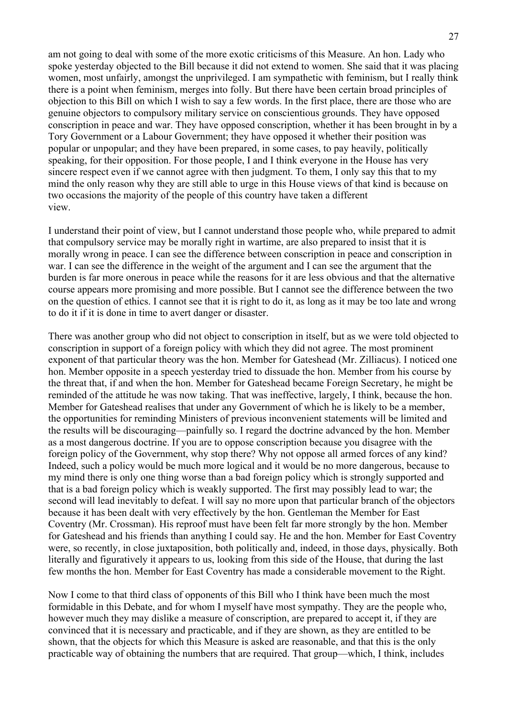am not going to deal with some of the more exotic criticisms of this Measure. An hon. Lady who spoke yesterday objected to the Bill because it did not extend to women. She said that it was placing women, most unfairly, amongst the unprivileged. I am sympathetic with feminism, but I really think there is a point when feminism, merges into folly. But there have been certain broad principles of objection to this Bill on which I wish to say a few words. In the first place, there are those who are genuine objectors to compulsory military service on conscientious grounds. They have opposed conscription in peace and war. They have opposed conscription, whether it has been brought in by a Tory Government or a Labour Government; they have opposed it whether their position was popular or unpopular; and they have been prepared, in some cases, to pay heavily, politically speaking, for their opposition. For those people, I and I think everyone in the House has very sincere respect even if we cannot agree with then judgment. To them, I only say this that to my mind the only reason why they are still able to urge in this House views of that kind is because on two occasions the majority of the people of this country have taken a different view.

I understand their point of view, but I cannot understand those people who, while prepared to admit that compulsory service may be morally right in wartime, are also prepared to insist that it is morally wrong in peace. I can see the difference between conscription in peace and conscription in war. I can see the difference in the weight of the argument and I can see the argument that the burden is far more onerous in peace while the reasons for it are less obvious and that the alternative course appears more promising and more possible. But I cannot see the difference between the two on the question of ethics. I cannot see that it is right to do it, as long as it may be too late and wrong to do it if it is done in time to avert danger or disaster.

There was another group who did not object to conscription in itself, but as we were told objected to conscription in support of a foreign policy with which they did not agree. The most prominent exponent of that particular theory was the hon. Member for Gateshead (Mr. Zilliacus). I noticed one hon. Member opposite in a speech yesterday tried to dissuade the hon. Member from his course by the threat that, if and when the hon. Member for Gateshead became Foreign Secretary, he might be reminded of the attitude he was now taking. That was ineffective, largely, I think, because the hon. Member for Gateshead realises that under any Government of which he is likely to be a member, the opportunities for reminding Ministers of previous inconvenient statements will be limited and the results will be discouraging—painfully so. I regard the doctrine advanced by the hon. Member as a most dangerous doctrine. If you are to oppose conscription because you disagree with the foreign policy of the Government, why stop there? Why not oppose all armed forces of any kind? Indeed, such a policy would be much more logical and it would be no more dangerous, because to my mind there is only one thing worse than a bad foreign policy which is strongly supported and that is a bad foreign policy which is weakly supported. The first may possibly lead to war; the second will lead inevitably to defeat. I will say no more upon that particular branch of the objectors because it has been dealt with very effectively by the hon. Gentleman the Member for East Coventry (Mr. Crossman). His reproof must have been felt far more strongly by the hon. Member for Gateshead and his friends than anything I could say. He and the hon. Member for East Coventry were, so recently, in close juxtaposition, both politically and, indeed, in those days, physically. Both literally and figuratively it appears to us, looking from this side of the House, that during the last few months the hon. Member for East Coventry has made a considerable movement to the Right.

Now I come to that third class of opponents of this Bill who I think have been much the most formidable in this Debate, and for whom I myself have most sympathy. They are the people who, however much they may dislike a measure of conscription, are prepared to accept it, if they are convinced that it is necessary and practicable, and if they are shown, as they are entitled to be shown, that the objects for which this Measure is asked are reasonable, and that this is the only practicable way of obtaining the numbers that are required. That group—which, I think, includes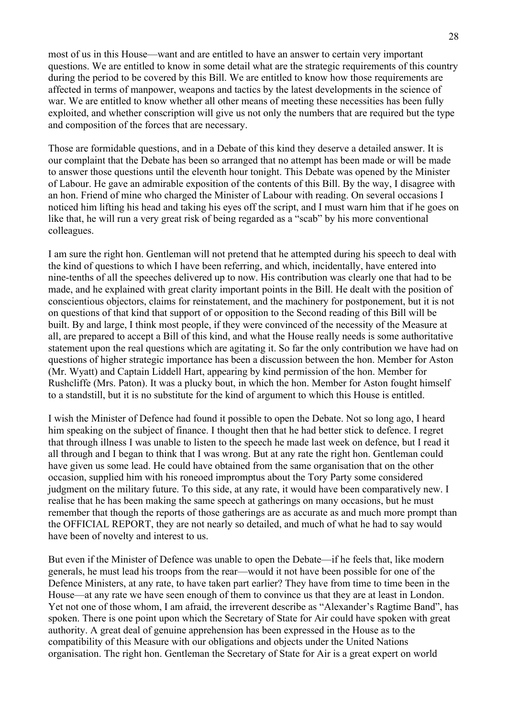most of us in this House—want and are entitled to have an answer to certain very important questions. We are entitled to know in some detail what are the strategic requirements of this country during the period to be covered by this Bill. We are entitled to know how those requirements are affected in terms of manpower, weapons and tactics by the latest developments in the science of war. We are entitled to know whether all other means of meeting these necessities has been fully exploited, and whether conscription will give us not only the numbers that are required but the type and composition of the forces that are necessary.

Those are formidable questions, and in a Debate of this kind they deserve a detailed answer. It is our complaint that the Debate has been so arranged that no attempt has been made or will be made to answer those questions until the eleventh hour tonight. This Debate was opened by the Minister of Labour. He gave an admirable exposition of the contents of this Bill. By the way, I disagree with an hon. Friend of mine who charged the Minister of Labour with reading. On several occasions I noticed him lifting his head and taking his eyes off the script, and I must warn him that if he goes on like that, he will run a very great risk of being regarded as a "scab" by his more conventional colleagues.

I am sure the right hon. Gentleman will not pretend that he attempted during his speech to deal with the kind of questions to which I have been referring, and which, incidentally, have entered into nine-tenths of all the speeches delivered up to now. His contribution was clearly one that had to be made, and he explained with great clarity important points in the Bill. He dealt with the position of conscientious objectors, claims for reinstatement, and the machinery for postponement, but it is not on questions of that kind that support of or opposition to the Second reading of this Bill will be built. By and large, I think most people, if they were convinced of the necessity of the Measure at all, are prepared to accept a Bill of this kind, and what the House really needs is some authoritative statement upon the real questions which are agitating it. So far the only contribution we have had on questions of higher strategic importance has been a discussion between the hon. Member for Aston (Mr. Wyatt) and Captain Liddell Hart, appearing by kind permission of the hon. Member for Rushcliffe (Mrs. Paton). It was a plucky bout, in which the hon. Member for Aston fought himself to a standstill, but it is no substitute for the kind of argument to which this House is entitled.

I wish the Minister of Defence had found it possible to open the Debate. Not so long ago, I heard him speaking on the subject of finance. I thought then that he had better stick to defence. I regret that through illness I was unable to listen to the speech he made last week on defence, but I read it all through and I began to think that I was wrong. But at any rate the right hon. Gentleman could have given us some lead. He could have obtained from the same organisation that on the other occasion, supplied him with his roneoed impromptus about the Tory Party some considered judgment on the military future. To this side, at any rate, it would have been comparatively new. I realise that he has been making the same speech at gatherings on many occasions, but he must remember that though the reports of those gatherings are as accurate as and much more prompt than the OFFICIAL REPORT, they are not nearly so detailed, and much of what he had to say would have been of novelty and interest to us.

But even if the Minister of Defence was unable to open the Debate—if he feels that, like modern generals, he must lead his troops from the rear—would it not have been possible for one of the Defence Ministers, at any rate, to have taken part earlier? They have from time to time been in the House—at any rate we have seen enough of them to convince us that they are at least in London. Yet not one of those whom, I am afraid, the irreverent describe as "Alexander's Ragtime Band", has spoken. There is one point upon which the Secretary of State for Air could have spoken with great authority. A great deal of genuine apprehension has been expressed in the House as to the compatibility of this Measure with our obligations and objects under the United Nations organisation. The right hon. Gentleman the Secretary of State for Air is a great expert on world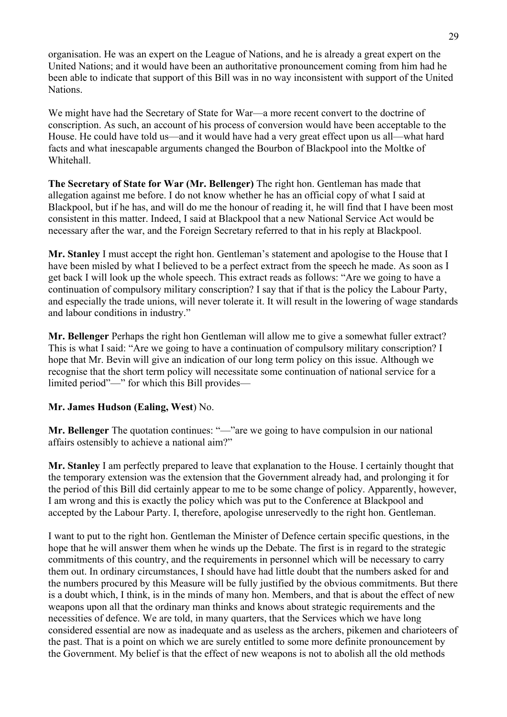organisation. He was an expert on the League of Nations, and he is already a great expert on the United Nations; and it would have been an authoritative pronouncement coming from him had he been able to indicate that support of this Bill was in no way inconsistent with support of the United Nations.

We might have had the Secretary of State for War—a more recent convert to the doctrine of conscription. As such, an account of his process of conversion would have been acceptable to the House. He could have told us—and it would have had a very great effect upon us all—what hard facts and what inescapable arguments changed the Bourbon of Blackpool into the Moltke of Whitehall.

**The Secretary of State for War (Mr. Bellenger)** The right hon. Gentleman has made that allegation against me before. I do not know whether he has an official copy of what I said at Blackpool, but if he has, and will do me the honour of reading it, he will find that I have been most consistent in this matter. Indeed, I said at Blackpool that a new National Service Act would be necessary after the war, and the Foreign Secretary referred to that in his reply at Blackpool.

**Mr. Stanley** I must accept the right hon. Gentleman's statement and apologise to the House that I have been misled by what I believed to be a perfect extract from the speech he made. As soon as I get back I will look up the whole speech. This extract reads as follows: "Are we going to have a continuation of compulsory military conscription? I say that if that is the policy the Labour Party, and especially the trade unions, will never tolerate it. It will result in the lowering of wage standards and labour conditions in industry."

**Mr. Bellenger** Perhaps the right hon Gentleman will allow me to give a somewhat fuller extract? This is what I said: "Are we going to have a continuation of compulsory military conscription? I hope that Mr. Bevin will give an indication of our long term policy on this issue. Although we recognise that the short term policy will necessitate some continuation of national service for a limited period"—" for which this Bill provides—

# **Mr. James Hudson (Ealing, West**) No.

**Mr. Bellenger** The quotation continues: "—"are we going to have compulsion in our national affairs ostensibly to achieve a national aim?"

**Mr. Stanley** I am perfectly prepared to leave that explanation to the House. I certainly thought that the temporary extension was the extension that the Government already had, and prolonging it for the period of this Bill did certainly appear to me to be some change of policy. Apparently, however, I am wrong and this is exactly the policy which was put to the Conference at Blackpool and accepted by the Labour Party. I, therefore, apologise unreservedly to the right hon. Gentleman.

I want to put to the right hon. Gentleman the Minister of Defence certain specific questions, in the hope that he will answer them when he winds up the Debate. The first is in regard to the strategic commitments of this country, and the requirements in personnel which will be necessary to carry them out. In ordinary circumstances, I should have had little doubt that the numbers asked for and the numbers procured by this Measure will be fully justified by the obvious commitments. But there is a doubt which, I think, is in the minds of many hon. Members, and that is about the effect of new weapons upon all that the ordinary man thinks and knows about strategic requirements and the necessities of defence. We are told, in many quarters, that the Services which we have long considered essential are now as inadequate and as useless as the archers, pikemen and charioteers of the past. That is a point on which we are surely entitled to some more definite pronouncement by the Government. My belief is that the effect of new weapons is not to abolish all the old methods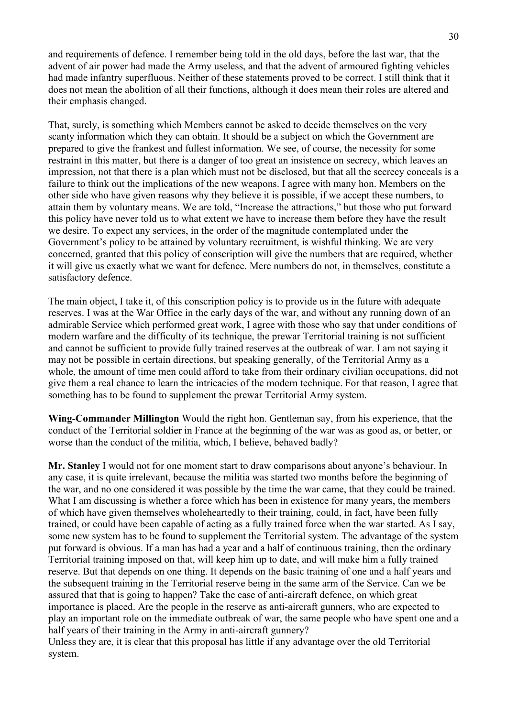and requirements of defence. I remember being told in the old days, before the last war, that the advent of air power had made the Army useless, and that the advent of armoured fighting vehicles had made infantry superfluous. Neither of these statements proved to be correct. I still think that it does not mean the abolition of all their functions, although it does mean their roles are altered and their emphasis changed.

That, surely, is something which Members cannot be asked to decide themselves on the very scanty information which they can obtain. It should be a subject on which the Government are prepared to give the frankest and fullest information. We see, of course, the necessity for some restraint in this matter, but there is a danger of too great an insistence on secrecy, which leaves an impression, not that there is a plan which must not be disclosed, but that all the secrecy conceals is a failure to think out the implications of the new weapons. I agree with many hon. Members on the other side who have given reasons why they believe it is possible, if we accept these numbers, to attain them by voluntary means. We are told, "Increase the attractions," but those who put forward this policy have never told us to what extent we have to increase them before they have the result we desire. To expect any services, in the order of the magnitude contemplated under the Government's policy to be attained by voluntary recruitment, is wishful thinking. We are very concerned, granted that this policy of conscription will give the numbers that are required, whether it will give us exactly what we want for defence. Mere numbers do not, in themselves, constitute a satisfactory defence.

The main object, I take it, of this conscription policy is to provide us in the future with adequate reserves. I was at the War Office in the early days of the war, and without any running down of an admirable Service which performed great work, I agree with those who say that under conditions of modern warfare and the difficulty of its technique, the prewar Territorial training is not sufficient and cannot be sufficient to provide fully trained reserves at the outbreak of war. I am not saying it may not be possible in certain directions, but speaking generally, of the Territorial Army as a whole, the amount of time men could afford to take from their ordinary civilian occupations, did not give them a real chance to learn the intricacies of the modern technique. For that reason, I agree that something has to be found to supplement the prewar Territorial Army system.

**Wing-Commander Millington** Would the right hon. Gentleman say, from his experience, that the conduct of the Territorial soldier in France at the beginning of the war was as good as, or better, or worse than the conduct of the militia, which, I believe, behaved badly?

**Mr. Stanley** I would not for one moment start to draw comparisons about anyone's behaviour. In any case, it is quite irrelevant, because the militia was started two months before the beginning of the war, and no one considered it was possible by the time the war came, that they could be trained. What I am discussing is whether a force which has been in existence for many years, the members of which have given themselves wholeheartedly to their training, could, in fact, have been fully trained, or could have been capable of acting as a fully trained force when the war started. As I say, some new system has to be found to supplement the Territorial system. The advantage of the system put forward is obvious. If a man has had a year and a half of continuous training, then the ordinary Territorial training imposed on that, will keep him up to date, and will make him a fully trained reserve. But that depends on one thing. It depends on the basic training of one and a half years and the subsequent training in the Territorial reserve being in the same arm of the Service. Can we be assured that that is going to happen? Take the case of anti-aircraft defence, on which great importance is placed. Are the people in the reserve as anti-aircraft gunners, who are expected to play an important role on the immediate outbreak of war, the same people who have spent one and a half years of their training in the Army in anti-aircraft gunnery?

Unless they are, it is clear that this proposal has little if any advantage over the old Territorial system.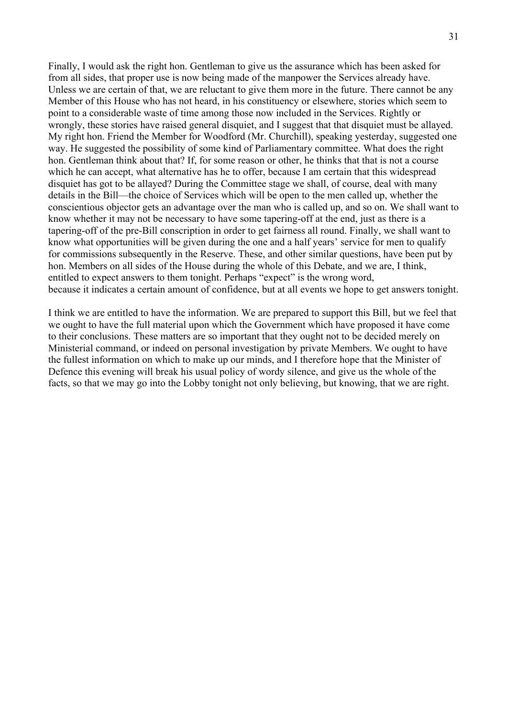Finally, I would ask the right hon. Gentleman to give us the assurance which has been asked for from all sides, that proper use is now being made of the manpower the Services already have. Unless we are certain of that, we are reluctant to give them more in the future. There cannot be any Member of this House who has not heard, in his constituency or elsewhere, stories which seem to point to a considerable waste of time among those now included in the Services. Rightly or wrongly, these stories have raised general disquiet, and I suggest that that disquiet must be allayed. My right hon. Friend the Member for Woodford (Mr. Churchill), speaking yesterday, suggested one way. He suggested the possibility of some kind of Parliamentary committee. What does the right hon. Gentleman think about that? If, for some reason or other, he thinks that that is not a course which he can accept, what alternative has he to offer, because I am certain that this widespread disquiet has got to be allayed? During the Committee stage we shall, of course, deal with many details in the Bill—the choice of Services which will be open to the men called up, whether the conscientious objector gets an advantage over the man who is called up, and so on. We shall want to know whether it may not be necessary to have some tapering-off at the end, just as there is a tapering-off of the pre-Bill conscription in order to get fairness all round. Finally, we shall want to know what opportunities will be given during the one and a half years' service for men to qualify for commissions subsequently in the Reserve. These, and other similar questions, have been put by hon. Members on all sides of the House during the whole of this Debate, and we are, I think, entitled to expect answers to them tonight. Perhaps "expect" is the wrong word, because it indicates a certain amount of confidence, but at all events we hope to get answers tonight.

I think we are entitled to have the information. We are prepared to support this Bill, but we feel that we ought to have the full material upon which the Government which have proposed it have come to their conclusions. These matters are so important that they ought not to be decided merely on Ministerial command, or indeed on personal investigation by private Members. We ought to have the fullest information on which to make up our minds, and I therefore hope that the Minister of Defence this evening will break his usual policy of wordy silence, and give us the whole of the facts, so that we may go into the Lobby tonight not only believing, but knowing, that we are right.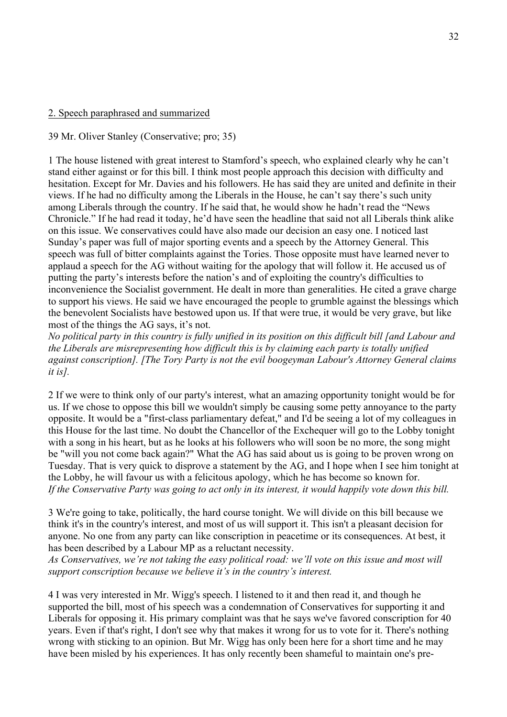# 2. Speech paraphrased and summarized

39 Mr. Oliver Stanley (Conservative; pro; 35)

1 The house listened with great interest to Stamford's speech, who explained clearly why he can't stand either against or for this bill. I think most people approach this decision with difficulty and hesitation. Except for Mr. Davies and his followers. He has said they are united and definite in their views. If he had no difficulty among the Liberals in the House, he can't say there's such unity among Liberals through the country. If he said that, he would show he hadn't read the "News Chronicle." If he had read it today, he'd have seen the headline that said not all Liberals think alike on this issue. We conservatives could have also made our decision an easy one. I noticed last Sunday's paper was full of major sporting events and a speech by the Attorney General. This speech was full of bitter complaints against the Tories. Those opposite must have learned never to applaud a speech for the AG without waiting for the apology that will follow it. He accused us of putting the party's interests before the nation's and of exploiting the country's difficulties to inconvenience the Socialist government. He dealt in more than generalities. He cited a grave charge to support his views. He said we have encouraged the people to grumble against the blessings which the benevolent Socialists have bestowed upon us. If that were true, it would be very grave, but like most of the things the AG says, it's not.

*No political party in this country is fully unified in its position on this difficult bill [and Labour and the Liberals are misrepresenting how difficult this is by claiming each party is totally unified against conscription]. [The Tory Party is not the evil boogeyman Labour's Attorney General claims it is].*

2 If we were to think only of our party's interest, what an amazing opportunity tonight would be for us. If we chose to oppose this bill we wouldn't simply be causing some petty annoyance to the party opposite. It would be a "first-class parliamentary defeat," and I'd be seeing a lot of my colleagues in this House for the last time. No doubt the Chancellor of the Exchequer will go to the Lobby tonight with a song in his heart, but as he looks at his followers who will soon be no more, the song might be "will you not come back again?" What the AG has said about us is going to be proven wrong on Tuesday. That is very quick to disprove a statement by the AG, and I hope when I see him tonight at the Lobby, he will favour us with a felicitous apology, which he has become so known for. *If the Conservative Party was going to act only in its interest, it would happily vote down this bill.*

3 We're going to take, politically, the hard course tonight. We will divide on this bill because we think it's in the country's interest, and most of us will support it. This isn't a pleasant decision for anyone. No one from any party can like conscription in peacetime or its consequences. At best, it has been described by a Labour MP as a reluctant necessity.

*As Conservatives, we're not taking the easy political road: we'll vote on this issue and most will support conscription because we believe it's in the country's interest.* 

4 I was very interested in Mr. Wigg's speech. I listened to it and then read it, and though he supported the bill, most of his speech was a condemnation of Conservatives for supporting it and Liberals for opposing it. His primary complaint was that he says we've favored conscription for 40 years. Even if that's right, I don't see why that makes it wrong for us to vote for it. There's nothing wrong with sticking to an opinion. But Mr. Wigg has only been here for a short time and he may have been misled by his experiences. It has only recently been shameful to maintain one's pre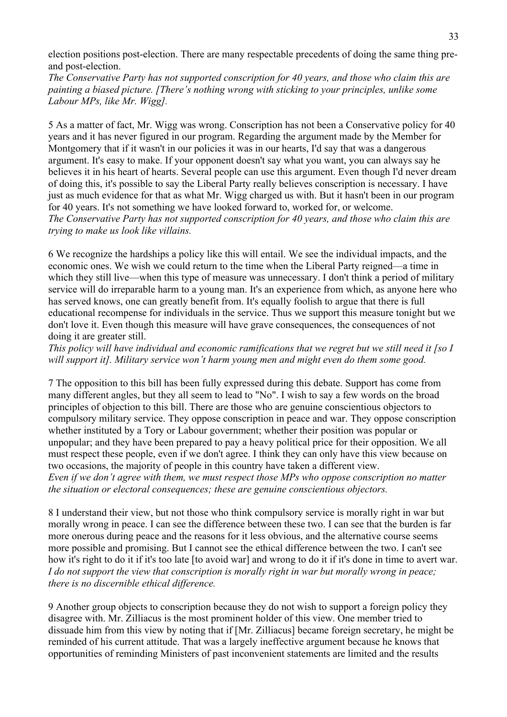election positions post-election. There are many respectable precedents of doing the same thing preand post-election.

*The Conservative Party has not supported conscription for 40 years, and those who claim this are painting a biased picture. [There's nothing wrong with sticking to your principles, unlike some Labour MPs, like Mr. Wigg].*

5 As a matter of fact, Mr. Wigg was wrong. Conscription has not been a Conservative policy for 40 years and it has never figured in our program. Regarding the argument made by the Member for Montgomery that if it wasn't in our policies it was in our hearts, I'd say that was a dangerous argument. It's easy to make. If your opponent doesn't say what you want, you can always say he believes it in his heart of hearts. Several people can use this argument. Even though I'd never dream of doing this, it's possible to say the Liberal Party really believes conscription is necessary. I have just as much evidence for that as what Mr. Wigg charged us with. But it hasn't been in our program for 40 years. It's not something we have looked forward to, worked for, or welcome. *The Conservative Party has not supported conscription for 40 years, and those who claim this are trying to make us look like villains.*

6 We recognize the hardships a policy like this will entail. We see the individual impacts, and the economic ones. We wish we could return to the time when the Liberal Party reigned—a time in which they still live—when this type of measure was unnecessary. I don't think a period of military service will do irreparable harm to a young man. It's an experience from which, as anyone here who has served knows, one can greatly benefit from. It's equally foolish to argue that there is full educational recompense for individuals in the service. Thus we support this measure tonight but we don't love it. Even though this measure will have grave consequences, the consequences of not doing it are greater still.

*This policy will have individual and economic ramifications that we regret but we still need it [so I will support it]. Military service won't harm young men and might even do them some good.* 

7 The opposition to this bill has been fully expressed during this debate. Support has come from many different angles, but they all seem to lead to "No". I wish to say a few words on the broad principles of objection to this bill. There are those who are genuine conscientious objectors to compulsory military service. They oppose conscription in peace and war. They oppose conscription whether instituted by a Tory or Labour government; whether their position was popular or unpopular; and they have been prepared to pay a heavy political price for their opposition. We all must respect these people, even if we don't agree. I think they can only have this view because on two occasions, the majority of people in this country have taken a different view.

*Even if we don't agree with them, we must respect those MPs who oppose conscription no matter the situation or electoral consequences; these are genuine conscientious objectors.*

8 I understand their view, but not those who think compulsory service is morally right in war but morally wrong in peace. I can see the difference between these two. I can see that the burden is far more onerous during peace and the reasons for it less obvious, and the alternative course seems more possible and promising. But I cannot see the ethical difference between the two. I can't see how it's right to do it if it's too late [to avoid war] and wrong to do it if it's done in time to avert war. *I do not support the view that conscription is morally right in war but morally wrong in peace; there is no discernible ethical difference.*

9 Another group objects to conscription because they do not wish to support a foreign policy they disagree with. Mr. Zilliacus is the most prominent holder of this view. One member tried to dissuade him from this view by noting that if [Mr. Zilliacus] became foreign secretary, he might be reminded of his current attitude. That was a largely ineffective argument because he knows that opportunities of reminding Ministers of past inconvenient statements are limited and the results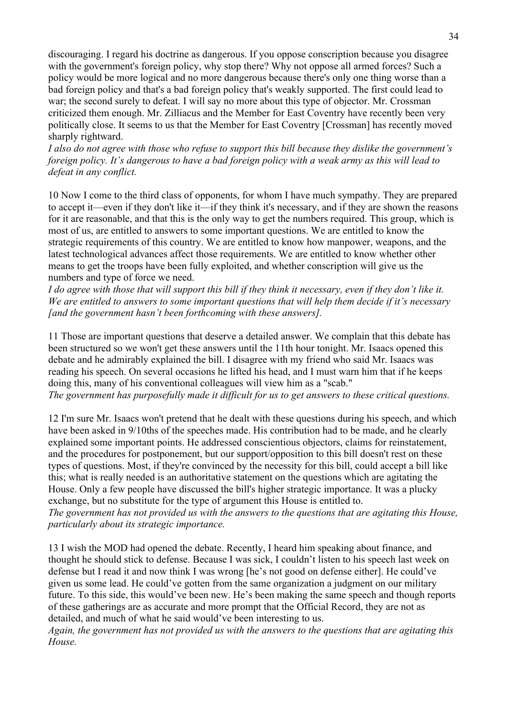discouraging. I regard his doctrine as dangerous. If you oppose conscription because you disagree with the government's foreign policy, why stop there? Why not oppose all armed forces? Such a policy would be more logical and no more dangerous because there's only one thing worse than a bad foreign policy and that's a bad foreign policy that's weakly supported. The first could lead to war; the second surely to defeat. I will say no more about this type of objector. Mr. Crossman criticized them enough. Mr. Zilliacus and the Member for East Coventry have recently been very politically close. It seems to us that the Member for East Coventry [Crossman] has recently moved sharply rightward.

*I also do not agree with those who refuse to support this bill because they dislike the government's foreign policy. It's dangerous to have a bad foreign policy with a weak army as this will lead to defeat in any conflict.* 

10 Now I come to the third class of opponents, for whom I have much sympathy. They are prepared to accept it—even if they don't like it—if they think it's necessary, and if they are shown the reasons for it are reasonable, and that this is the only way to get the numbers required. This group, which is most of us, are entitled to answers to some important questions. We are entitled to know the strategic requirements of this country. We are entitled to know how manpower, weapons, and the latest technological advances affect those requirements. We are entitled to know whether other means to get the troops have been fully exploited, and whether conscription will give us the numbers and type of force we need.

*I do agree with those that will support this bill if they think it necessary, even if they don't like it. We are entitled to answers to some important questions that will help them decide if it's necessary [and the government hasn't been forthcoming with these answers].*

11 Those are important questions that deserve a detailed answer. We complain that this debate has been structured so we won't get these answers until the 11th hour tonight. Mr. Isaacs opened this debate and he admirably explained the bill. I disagree with my friend who said Mr. Isaacs was reading his speech. On several occasions he lifted his head, and I must warn him that if he keeps doing this, many of his conventional colleagues will view him as a "scab." *The government has purposefully made it difficult for us to get answers to these critical questions.*

12 I'm sure Mr. Isaacs won't pretend that he dealt with these questions during his speech, and which have been asked in 9/10ths of the speeches made. His contribution had to be made, and he clearly explained some important points. He addressed conscientious objectors, claims for reinstatement, and the procedures for postponement, but our support/opposition to this bill doesn't rest on these types of questions. Most, if they're convinced by the necessity for this bill, could accept a bill like this; what is really needed is an authoritative statement on the questions which are agitating the House. Only a few people have discussed the bill's higher strategic importance. It was a plucky exchange, but no substitute for the type of argument this House is entitled to.

*The government has not provided us with the answers to the questions that are agitating this House, particularly about its strategic importance.* 

13 I wish the MOD had opened the debate. Recently, I heard him speaking about finance, and thought he should stick to defense. Because I was sick, I couldn't listen to his speech last week on defense but I read it and now think I was wrong [he's not good on defense either]. He could've given us some lead. He could've gotten from the same organization a judgment on our military future. To this side, this would've been new. He's been making the same speech and though reports of these gatherings are as accurate and more prompt that the Official Record, they are not as detailed, and much of what he said would've been interesting to us.

*Again, the government has not provided us with the answers to the questions that are agitating this House.*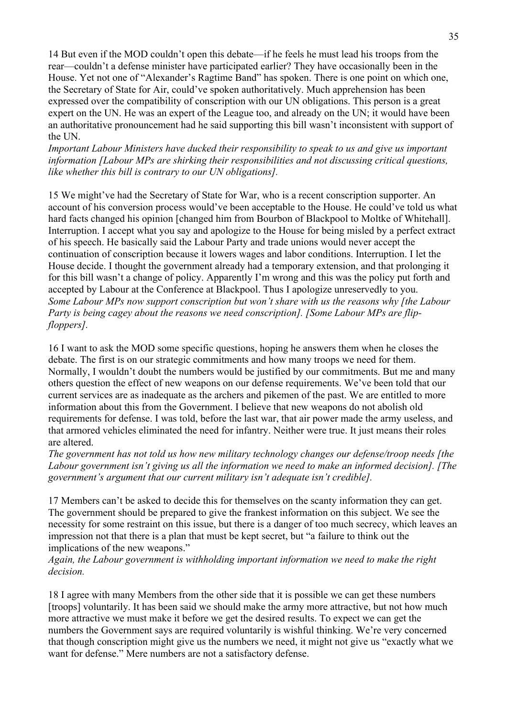14 But even if the MOD couldn't open this debate—if he feels he must lead his troops from the rear—couldn't a defense minister have participated earlier? They have occasionally been in the House. Yet not one of "Alexander's Ragtime Band" has spoken. There is one point on which one, the Secretary of State for Air, could've spoken authoritatively. Much apprehension has been expressed over the compatibility of conscription with our UN obligations. This person is a great expert on the UN. He was an expert of the League too, and already on the UN; it would have been an authoritative pronouncement had he said supporting this bill wasn't inconsistent with support of the UN.

*Important Labour Ministers have ducked their responsibility to speak to us and give us important information [Labour MPs are shirking their responsibilities and not discussing critical questions, like whether this bill is contrary to our UN obligations].* 

15 We might've had the Secretary of State for War, who is a recent conscription supporter. An account of his conversion process would've been acceptable to the House. He could've told us what hard facts changed his opinion [changed him from Bourbon of Blackpool to Moltke of Whitehall]. Interruption. I accept what you say and apologize to the House for being misled by a perfect extract of his speech. He basically said the Labour Party and trade unions would never accept the continuation of conscription because it lowers wages and labor conditions. Interruption. I let the House decide. I thought the government already had a temporary extension, and that prolonging it for this bill wasn't a change of policy. Apparently I'm wrong and this was the policy put forth and accepted by Labour at the Conference at Blackpool. Thus I apologize unreservedly to you. *Some Labour MPs now support conscription but won't share with us the reasons why [the Labour Party is being cagey about the reasons we need conscription]. [Some Labour MPs are flipfloppers].*

16 I want to ask the MOD some specific questions, hoping he answers them when he closes the debate. The first is on our strategic commitments and how many troops we need for them. Normally, I wouldn't doubt the numbers would be justified by our commitments. But me and many others question the effect of new weapons on our defense requirements. We've been told that our current services are as inadequate as the archers and pikemen of the past. We are entitled to more information about this from the Government. I believe that new weapons do not abolish old requirements for defense. I was told, before the last war, that air power made the army useless, and that armored vehicles eliminated the need for infantry. Neither were true. It just means their roles are altered.

*The government has not told us how new military technology changes our defense/troop needs [the Labour government isn't giving us all the information we need to make an informed decision]. [The government's argument that our current military isn't adequate isn't credible].*

17 Members can't be asked to decide this for themselves on the scanty information they can get. The government should be prepared to give the frankest information on this subject. We see the necessity for some restraint on this issue, but there is a danger of too much secrecy, which leaves an impression not that there is a plan that must be kept secret, but "a failure to think out the implications of the new weapons."

*Again, the Labour government is withholding important information we need to make the right decision.*

18 I agree with many Members from the other side that it is possible we can get these numbers [troops] voluntarily. It has been said we should make the army more attractive, but not how much more attractive we must make it before we get the desired results. To expect we can get the numbers the Government says are required voluntarily is wishful thinking. We're very concerned that though conscription might give us the numbers we need, it might not give us "exactly what we want for defense." Mere numbers are not a satisfactory defense.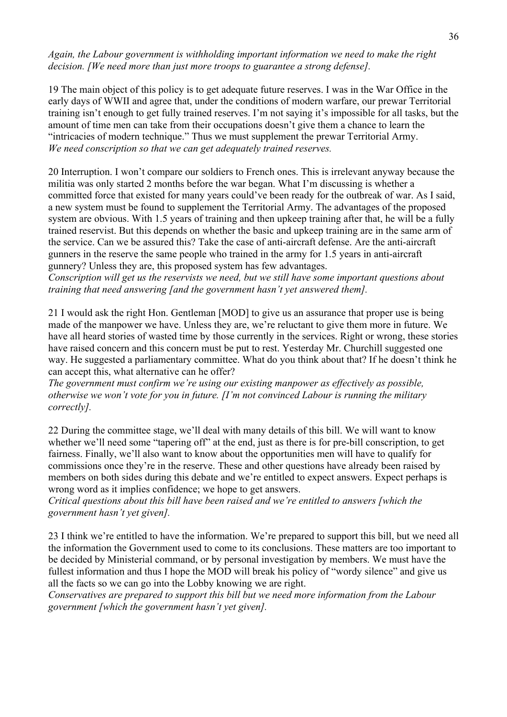*Again, the Labour government is withholding important information we need to make the right decision. [We need more than just more troops to guarantee a strong defense].*

19 The main object of this policy is to get adequate future reserves. I was in the War Office in the early days of WWII and agree that, under the conditions of modern warfare, our prewar Territorial training isn't enough to get fully trained reserves. I'm not saying it's impossible for all tasks, but the amount of time men can take from their occupations doesn't give them a chance to learn the "intricacies of modern technique." Thus we must supplement the prewar Territorial Army. *We need conscription so that we can get adequately trained reserves.*

20 Interruption. I won't compare our soldiers to French ones. This is irrelevant anyway because the militia was only started 2 months before the war began. What I'm discussing is whether a committed force that existed for many years could've been ready for the outbreak of war. As I said, a new system must be found to supplement the Territorial Army. The advantages of the proposed system are obvious. With 1.5 years of training and then upkeep training after that, he will be a fully trained reservist. But this depends on whether the basic and upkeep training are in the same arm of the service. Can we be assured this? Take the case of anti-aircraft defense. Are the anti-aircraft gunners in the reserve the same people who trained in the army for 1.5 years in anti-aircraft gunnery? Unless they are, this proposed system has few advantages.

*Conscription will get us the reservists we need, but we still have some important questions about training that need answering [and the government hasn't yet answered them].*

21 I would ask the right Hon. Gentleman [MOD] to give us an assurance that proper use is being made of the manpower we have. Unless they are, we're reluctant to give them more in future. We have all heard stories of wasted time by those currently in the services. Right or wrong, these stories have raised concern and this concern must be put to rest. Yesterday Mr. Churchill suggested one way. He suggested a parliamentary committee. What do you think about that? If he doesn't think he can accept this, what alternative can he offer?

*The government must confirm we're using our existing manpower as effectively as possible, otherwise we won't vote for you in future. [I'm not convinced Labour is running the military correctly].*

22 During the committee stage, we'll deal with many details of this bill. We will want to know whether we'll need some "tapering off" at the end, just as there is for pre-bill conscription, to get fairness. Finally, we'll also want to know about the opportunities men will have to qualify for commissions once they're in the reserve. These and other questions have already been raised by members on both sides during this debate and we're entitled to expect answers. Expect perhaps is wrong word as it implies confidence; we hope to get answers.

*Critical questions about this bill have been raised and we're entitled to answers [which the government hasn't yet given].*

23 I think we're entitled to have the information. We're prepared to support this bill, but we need all the information the Government used to come to its conclusions. These matters are too important to be decided by Ministerial command, or by personal investigation by members. We must have the fullest information and thus I hope the MOD will break his policy of "wordy silence" and give us all the facts so we can go into the Lobby knowing we are right.

*Conservatives are prepared to support this bill but we need more information from the Labour government [which the government hasn't yet given].*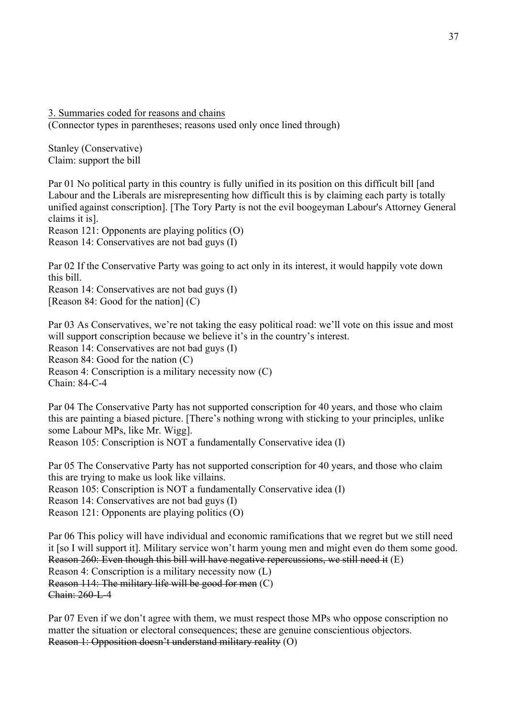3. Summaries coded for reasons and chains

(Connector types in parentheses; reasons used only once lined through)

Stanley (Conservative) Claim: support the bill

Par 01 No political party in this country is fully unified in its position on this difficult bill [and Labour and the Liberals are misrepresenting how difficult this is by claiming each party is totally unified against conscription]. [The Tory Party is not the evil boogeyman Labour's Attorney General claims it is].

Reason 121: Opponents are playing politics (O)

Reason 14: Conservatives are not bad guys (I)

Par 02 If the Conservative Party was going to act only in its interest, it would happily vote down this bill.

Reason 14: Conservatives are not bad guys (I) [Reason 84: Good for the nation] (C)

Par 03 As Conservatives, we're not taking the easy political road: we'll vote on this issue and most will support conscription because we believe it's in the country's interest. Reason 14: Conservatives are not bad guys (I)

Reason 84: Good for the nation (C)

Reason 4: Conscription is a military necessity now (C) Chain: 84-C-4

Par 04 The Conservative Party has not supported conscription for 40 years, and those who claim this are painting a biased picture. [There's nothing wrong with sticking to your principles, unlike some Labour MPs, like Mr. Wigg].

Reason 105: Conscription is NOT a fundamentally Conservative idea (I)

Par 05 The Conservative Party has not supported conscription for 40 years, and those who claim this are trying to make us look like villains. Reason 105: Conscription is NOT a fundamentally Conservative idea (I) Reason 14: Conservatives are not bad guys (I) Reason 121: Opponents are playing politics (O)

Par 06 This policy will have individual and economic ramifications that we regret but we still need it [so I will support it]. Military service won't harm young men and might even do them some good. Reason 260: Even though this bill will have negative repercussions, we still need it (E) Reason 4: Conscription is a military necessity now (L) Reason 114: The military life will be good for men (C) Chain: 260-L-4

Par 07 Even if we don't agree with them, we must respect those MPs who oppose conscription no matter the situation or electoral consequences; these are genuine conscientious objectors. Reason 1: Opposition doesn't understand military reality (O)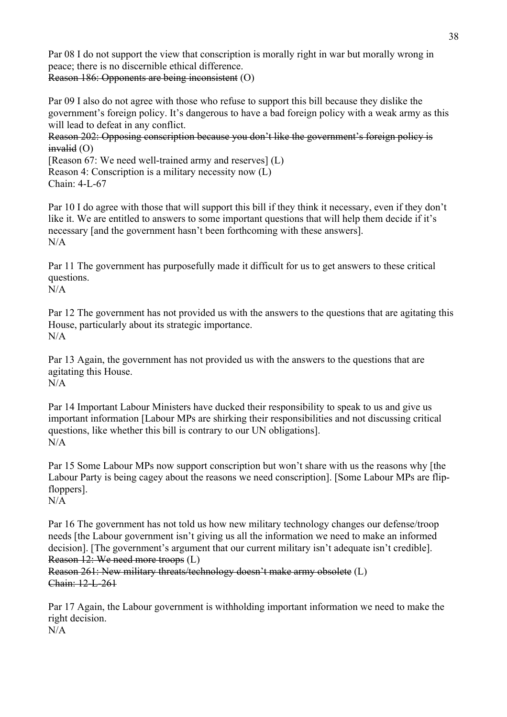Par 08 I do not support the view that conscription is morally right in war but morally wrong in peace; there is no discernible ethical difference. Reason 186: Opponents are being inconsistent (O)

Par 09 I also do not agree with those who refuse to support this bill because they dislike the government's foreign policy. It's dangerous to have a bad foreign policy with a weak army as this will lead to defeat in any conflict.

Reason 202: Opposing conscription because you don't like the government's foreign policy is  $invalid$  (O)

[Reason 67: We need well-trained army and reserves]  $(L)$ Reason 4: Conscription is a military necessity now (L) Chain: 4-L-67

Par 10 I do agree with those that will support this bill if they think it necessary, even if they don't like it. We are entitled to answers to some important questions that will help them decide if it's necessary [and the government hasn't been forthcoming with these answers]. N/A

Par 11 The government has purposefully made it difficult for us to get answers to these critical questions.  $N/A$ 

Par 12 The government has not provided us with the answers to the questions that are agitating this House, particularly about its strategic importance. N/A

Par 13 Again, the government has not provided us with the answers to the questions that are agitating this House. N/A

Par 14 Important Labour Ministers have ducked their responsibility to speak to us and give us important information [Labour MPs are shirking their responsibilities and not discussing critical questions, like whether this bill is contrary to our UN obligations].  $N/A$ 

Par 15 Some Labour MPs now support conscription but won't share with us the reasons why [the Labour Party is being cagey about the reasons we need conscription]. [Some Labour MPs are flipfloppers]. N/A

Par 16 The government has not told us how new military technology changes our defense/troop needs [the Labour government isn't giving us all the information we need to make an informed decision]. [The government's argument that our current military isn't adequate isn't credible]. Reason 12: We need more troops (L)

Reason 261: New military threats/technology doesn't make army obsolete (L) Chain: 12-L-261

Par 17 Again, the Labour government is withholding important information we need to make the right decision.

 $N/A$